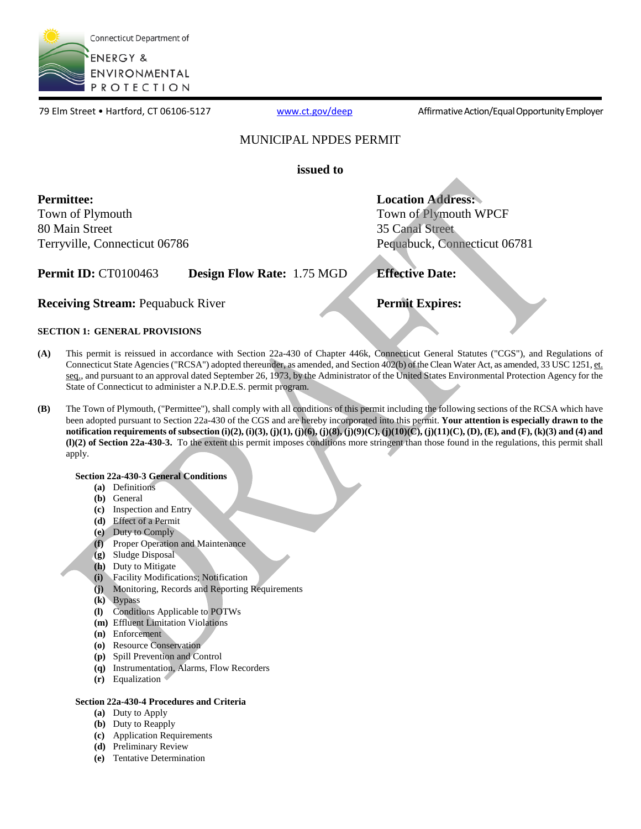

79 Elm Street • Hartford, CT 06106-5127 [www.ct.gov/deep](http://www.ct.gov/deep) Affirmative Action/Equal Opportunity Employer

### MUNICIPAL NPDES PERMIT

**issued to** 

**Permittee:**  Town of Plymouth 80 Main Street Terryville, Connecticut 06786 **Location Address:**  Town of Plymouth WPCF 35 Canal Street Pequabuck, Connecticut 06781

**Permit ID:** CT0100463 **Design Flow Rate:** 1.75 MGD **Effective Date:** 

**Receiving Stream:** Pequabuck River **Permit Expires: Permit Expires:** 

### **SECTION 1: GENERAL PROVISIONS**

- **(A)** This permit is reissued in accordance with Section 22a-430 of Chapter 446k, Connecticut General Statutes ("CGS"), and Regulations of Connecticut State Agencies ("RCSA") adopted thereunder, as amended, and Section 402(b) of the Clean Water Act, as amended, 33 USC 1251, et. seq., and pursuant to an approval dated September 26, 1973, by the Administrator of the United States Environmental Protection Agency for the State of Connecticut to administer a N.P.D.E.S. permit program.
- **(B)** The Town of Plymouth, ("Permittee"), shall comply with all conditions of this permit including the following sections of the RCSA which have been adopted pursuant to Section 22a-430 of the CGS and are hereby incorporated into this permit. **Your attention is especially drawn to the notification requirements of subsection (i)(2), (i)(3), (j)(1), (j)(6), (j)(8), (j)(9)(C), (j)(10)(C), (j)(11)(C), (D), (E), and (F), (k)(3) and (4) and (l)(2) of Section 22a-430-3.** To the extent this permit imposes conditions more stringent than those found in the regulations, this permit shall apply.

### **Section 22a-430-3 General Conditions**

- **(a)** Definitions
- **(b)** General
- **(c)** Inspection and Entry
- **(d)** Effect of a Permit
- **(e)** Duty to Comply
- **(f)** Proper Operation and Maintenance
- **(g)** Sludge Disposal
- **(h)** Duty to Mitigate
- **(i)** Facility Modifications; Notification
- **(j)** Monitoring, Records and Reporting Requirements
- **(k)** Bypass
- **(l)** Conditions Applicable to POTWs
- **(m)** Effluent Limitation Violations
- **(n)** Enforcement
- **(o)** Resource Conservation
- **(p)** Spill Prevention and Control
- **(q)** Instrumentation, Alarms, Flow Recorders
- **(r)** Equalization

### **Section 22a-430-4 Procedures and Criteria**

- **(a)** Duty to Apply
- **(b)** Duty to Reapply
- **(c)** Application Requirements
- **(d)** Preliminary Review
- **(e)** Tentative Determination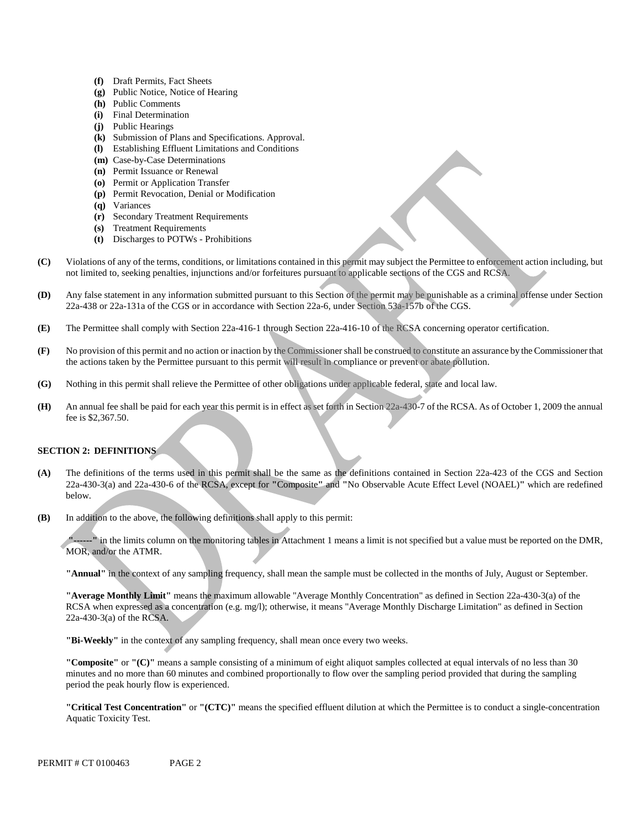- **(f)** Draft Permits, Fact Sheets
- **(g)** Public Notice, Notice of Hearing
- **(h)** Public Comments
- **(i)** Final Determination
- **(j)** Public Hearings
- **(k)** Submission of Plans and Specifications. Approval.
- **(l)** Establishing Effluent Limitations and Conditions
- **(m)** Case-by-Case Determinations
- **(n)** Permit Issuance or Renewal
- **(o)** Permit or Application Transfer
- **(p)** Permit Revocation, Denial or Modification
- **(q)** Variances
- **(r)** Secondary Treatment Requirements
- **(s)** Treatment Requirements
- **(t)** Discharges to POTWs Prohibitions
- **(C)** Violations of any of the terms, conditions, or limitations contained in this permit may subject the Permittee to enforcement action including, but not limited to, seeking penalties, injunctions and/or forfeitures pursuant to applicable sections of the CGS and RCSA.
- **(D)** Any false statement in any information submitted pursuant to this Section of the permit may be punishable as a criminal offense under Section 22a-438 or 22a-131a of the CGS or in accordance with Section 22a-6, under Section 53a-157b of the CGS.
- **(E)** The Permittee shall comply with Section 22a-416-1 through Section 22a-416-10 of the RCSA concerning operator certification.
- **(F)** No provision of this permit and no action or inaction by the Commissioner shall be construed to constitute an assurance by the Commissioner that the actions taken by the Permittee pursuant to this permit will result in compliance or prevent or abate pollution.
- **(G)** Nothing in this permit shall relieve the Permittee of other obligations under applicable federal, state and local law.
- **(H)** An annual fee shall be paid for each year this permit is in effect as set forth in Section 22a-430-7 of the RCSA. As of October 1, 2009 the annual fee is \$2,367.50.

### **SECTION 2: DEFINITIONS**

- **(A)** The definitions of the terms used in this permit shall be the same as the definitions contained in Section 22a-423 of the CGS and Section 22a-430-3(a) and 22a-430-6 of the RCSA, except for **"**Composite**"** and **"**No Observable Acute Effect Level (NOAEL)**"** which are redefined below.
- **(B)** In addition to the above, the following definitions shall apply to this permit:

**"------"** in the limits column on the monitoring tables in Attachment 1 means a limit is not specified but a value must be reported on the DMR, MOR, and/or the ATMR.

**"Annual"** in the context of any sampling frequency, shall mean the sample must be collected in the months of July, August or September.

**"Average Monthly Limit"** means the maximum allowable "Average Monthly Concentration" as defined in Section 22a-430-3(a) of the RCSA when expressed as a concentration (e.g. mg/l); otherwise, it means "Average Monthly Discharge Limitation" as defined in Section 22a-430-3(a) of the RCSA.

**"Bi-Weekly"** in the context of any sampling frequency, shall mean once every two weeks.

**"Composite"** or **"(C)"** means a sample consisting of a minimum of eight aliquot samples collected at equal intervals of no less than 30 minutes and no more than 60 minutes and combined proportionally to flow over the sampling period provided that during the sampling period the peak hourly flow is experienced.

**"Critical Test Concentration"** or **"(CTC)"** means the specified effluent dilution at which the Permittee is to conduct a single-concentration Aquatic Toxicity Test.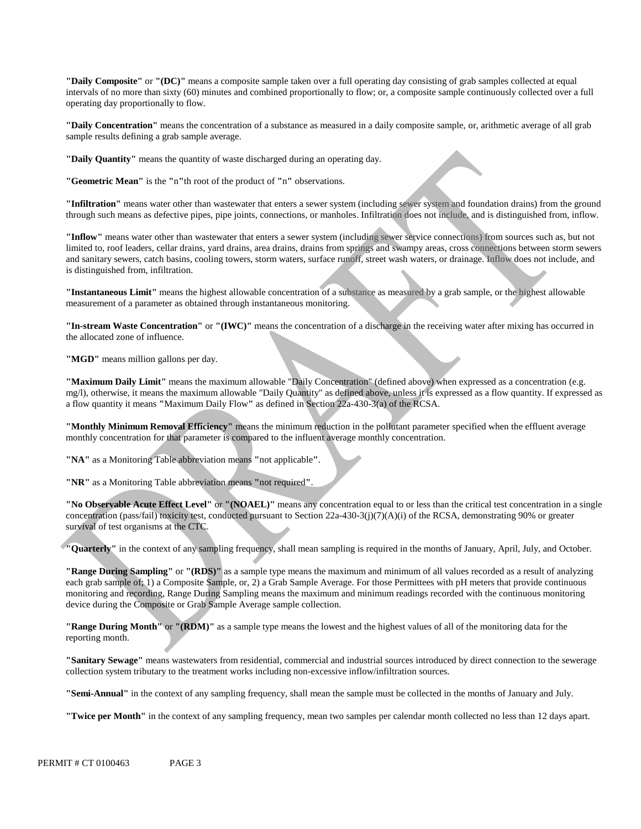**"Daily Composite"** or **"(DC)"** means a composite sample taken over a full operating day consisting of grab samples collected at equal intervals of no more than sixty (60) minutes and combined proportionally to flow; or, a composite sample continuously collected over a full operating day proportionally to flow.

**"Daily Concentration"** means the concentration of a substance as measured in a daily composite sample, or, arithmetic average of all grab sample results defining a grab sample average.

**"Daily Quantity"** means the quantity of waste discharged during an operating day.

**"Geometric Mean"** is the **"**n**"**th root of the product of **"**n**"** observations.

**"Infiltration"** means water other than wastewater that enters a sewer system (including sewer system and foundation drains) from the ground through such means as defective pipes, pipe joints, connections, or manholes. Infiltration does not include, and is distinguished from, inflow.

**"Inflow"** means water other than wastewater that enters a sewer system (including sewer service connections) from sources such as, but not limited to, roof leaders, cellar drains, yard drains, area drains, drains from springs and swampy areas, cross connections between storm sewers and sanitary sewers, catch basins, cooling towers, storm waters, surface runoff, street wash waters, or drainage. Inflow does not include, and is distinguished from, infiltration.

**"Instantaneous Limit"** means the highest allowable concentration of a substance as measured by a grab sample, or the highest allowable measurement of a parameter as obtained through instantaneous monitoring.

**"In-stream Waste Concentration"** or **"(IWC)"** means the concentration of a discharge in the receiving water after mixing has occurred in the allocated zone of influence.

"MGD" means million gallons per day.

**"Maximum Daily Limit"** means the maximum allowable "Daily Concentration" (defined above) when expressed as a concentration (e.g. mg/l), otherwise, it means the maximum allowable "Daily Quantity" as defined above, unless it is expressed as a flow quantity. If expressed as a flow quantity it means **"**Maximum Daily Flow**"** as defined in Section 22a-430-3(a) of the RCSA.

**"Monthly Minimum Removal Efficiency"** means the minimum reduction in the pollutant parameter specified when the effluent average monthly concentration for that parameter is compared to the influent average monthly concentration.

**"NA"** as a Monitoring Table abbreviation means **"**not applicable**"**.

**"NR"** as a Monitoring Table abbreviation means **"**not required**"**.

**"No Observable Acute Effect Level"** or **"(NOAEL)"** means any concentration equal to or less than the critical test concentration in a single concentration (pass/fail) toxicity test, conducted pursuant to Section 22a-430-3(j)(7)(A)(i) of the RCSA, demonstrating 90% or greater survival of test organisms at the CTC.

**"Quarterly"** in the context of any sampling frequency, shall mean sampling is required in the months of January, April, July, and October.

**"Range During Sampling"** or **"(RDS)"** as a sample type means the maximum and minimum of all values recorded as a result of analyzing each grab sample of; 1) a Composite Sample, or, 2) a Grab Sample Average. For those Permittees with pH meters that provide continuous monitoring and recording, Range During Sampling means the maximum and minimum readings recorded with the continuous monitoring device during the Composite or Grab Sample Average sample collection.

**"Range During Month"** or **"(RDM)"** as a sample type means the lowest and the highest values of all of the monitoring data for the reporting month.

**"Sanitary Sewage"** means wastewaters from residential, commercial and industrial sources introduced by direct connection to the sewerage collection system tributary to the treatment works including non-excessive inflow/infiltration sources.

**"Semi-Annual"** in the context of any sampling frequency, shall mean the sample must be collected in the months of January and July.

**"Twice per Month"** in the context of any sampling frequency, mean two samples per calendar month collected no less than 12 days apart.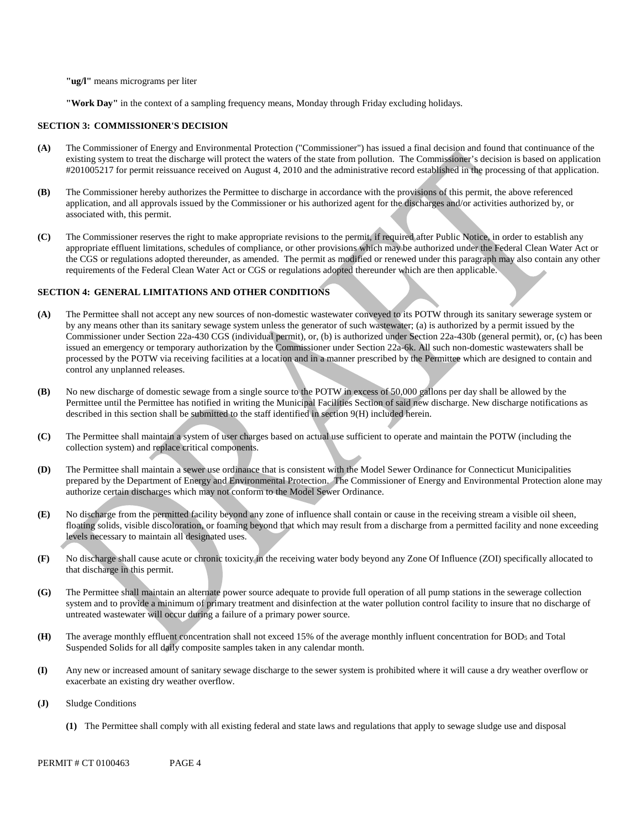**"ug/l"** means micrograms per liter

**"Work Day"** in the context of a sampling frequency means, Monday through Friday excluding holidays.

#### **SECTION 3: COMMISSIONER'S DECISION**

- **(A)** The Commissioner of Energy and Environmental Protection ("Commissioner") has issued a final decision and found that continuance of the existing system to treat the discharge will protect the waters of the state from pollution. The Commissioner's decision is based on application #201005217 for permit reissuance received on August 4, 2010 and the administrative record established in the processing of that application.
- **(B)** The Commissioner hereby authorizes the Permittee to discharge in accordance with the provisions of this permit, the above referenced application, and all approvals issued by the Commissioner or his authorized agent for the discharges and/or activities authorized by, or associated with, this permit.
- **(C)** The Commissioner reserves the right to make appropriate revisions to the permit, if required after Public Notice, in order to establish any appropriate effluent limitations, schedules of compliance, or other provisions which may be authorized under the Federal Clean Water Act or the CGS or regulations adopted thereunder, as amended. The permit as modified or renewed under this paragraph may also contain any other requirements of the Federal Clean Water Act or CGS or regulations adopted thereunder which are then applicable.

#### **SECTION 4: GENERAL LIMITATIONS AND OTHER CONDITIONS**

- **(A)** The Permittee shall not accept any new sources of non-domestic wastewater conveyed to its POTW through its sanitary sewerage system or by any means other than its sanitary sewage system unless the generator of such wastewater; (a) is authorized by a permit issued by the Commissioner under Section 22a-430 CGS (individual permit), or, (b) is authorized under Section 22a-430b (general permit), or, (c) has been issued an emergency or temporary authorization by the Commissioner under Section 22a-6k. All such non-domestic wastewaters shall be processed by the POTW via receiving facilities at a location and in a manner prescribed by the Permittee which are designed to contain and control any unplanned releases.
- **(B)** No new discharge of domestic sewage from a single source to the POTW in excess of 50,000 gallons per day shall be allowed by the Permittee until the Permittee has notified in writing the Municipal Facilities Section of said new discharge. New discharge notifications as described in this section shall be submitted to the staff identified in section 9(H) included herein.
- **(C)** The Permittee shall maintain a system of user charges based on actual use sufficient to operate and maintain the POTW (including the collection system) and replace critical components.
- **(D)** The Permittee shall maintain a sewer use ordinance that is consistent with the Model Sewer Ordinance for Connecticut Municipalities prepared by the Department of Energy and Environmental Protection. The Commissioner of Energy and Environmental Protection alone may authorize certain discharges which may not conform to the Model Sewer Ordinance.
- **(E)** No discharge from the permitted facility beyond any zone of influence shall contain or cause in the receiving stream a visible oil sheen, floating solids, visible discoloration, or foaming beyond that which may result from a discharge from a permitted facility and none exceeding levels necessary to maintain all designated uses.
- No discharge shall cause acute or chronic toxicity in the receiving water body beyond any Zone Of Influence (ZOI) specifically allocated to that discharge in this permit. **(F)**
- **(G)** The Permittee shall maintain an alternate power source adequate to provide full operation of all pump stations in the sewerage collection system and to provide a minimum of primary treatment and disinfection at the water pollution control facility to insure that no discharge of untreated wastewater will occur during a failure of a primary power source.
- **(H)** The average monthly effluent concentration shall not exceed 15% of the average monthly influent concentration for BOD5 and Total Suspended Solids for all daily composite samples taken in any calendar month.
- **(I)** Any new or increased amount of sanitary sewage discharge to the sewer system is prohibited where it will cause a dry weather overflow or exacerbate an existing dry weather overflow.
- **(J)** Sludge Conditions
	- **(1)** The Permittee shall comply with all existing federal and state laws and regulations that apply to sewage sludge use and disposal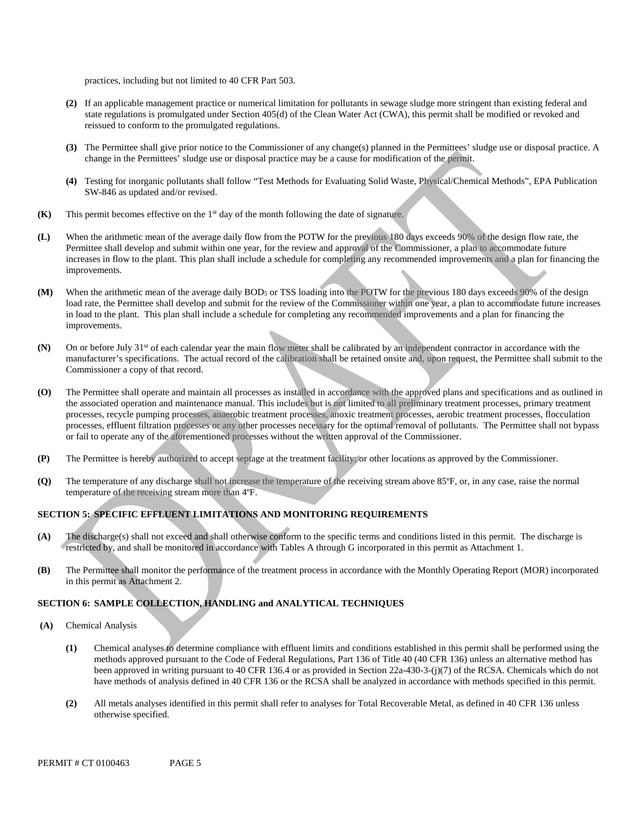practices, including but not limited to 40 CFR Part 503.

- **(2)** If an applicable management practice or numerical limitation for pollutants in sewage sludge more stringent than existing federal and state regulations is promulgated under Section 405(d) of the Clean Water Act (CWA), this permit shall be modified or revoked and reissued to conform to the promulgated regulations.
- **(3)** The Permittee shall give prior notice to the Commissioner of any change(s) planned in the Permittees' sludge use or disposal practice. A change in the Permittees' sludge use or disposal practice may be a cause for modification of the permit.
- **(4)** Testing for inorganic pollutants shall follow "Test Methods for Evaluating Solid Waste, Physical/Chemical Methods", EPA Publication SW-846 as updated and/or revised.
- **(K)** This permit becomes effective on the 1<sup>st</sup> day of the month following the date of signature.
- **(L)** When the arithmetic mean of the average daily flow from the POTW for the previous 180 days exceeds 90% of the design flow rate, the Permittee shall develop and submit within one year, for the review and approval of the Commissioner, a plan to accommodate future increases in flow to the plant. This plan shall include a schedule for completing any recommended improvements and a plan for financing the improvements.
- **(M)** When the arithmetic mean of the average daily BOD5 or TSS loading into the POTW for the previous 180 days exceeds 90% of the design load rate, the Permittee shall develop and submit for the review of the Commissioner within one year, a plan to accommodate future increases in load to the plant. This plan shall include a schedule for completing any recommended improvements and a plan for financing the improvements.
- **(N)** On or before July 31st of each calendar year the main flow meter shall be calibrated by an independent contractor in accordance with the manufacturer's specifications. The actual record of the calibration shall be retained onsite and, upon request, the Permittee shall submit to the Commissioner a copy of that record.
- **(O)** The Permittee shall operate and maintain all processes as installed in accordance with the approved plans and specifications and as outlined in the associated operation and maintenance manual. This includes but is not limited to all preliminary treatment processes, primary treatment processes, recycle pumping processes, anaerobic treatment processes, anoxic treatment processes, aerobic treatment processes, flocculation processes, effluent filtration processes or any other processes necessary for the optimal removal of pollutants. The Permittee shall not bypass or fail to operate any of the aforementioned processes without the written approval of the Commissioner.
- **(P)** The Permittee is hereby authorized to accept septage at the treatment facility; or other locations as approved by the Commissioner.
- **(Q)** The temperature of any discharge shall not increase the temperature of the receiving stream above 85ºF, or, in any case, raise the normal temperature of the receiving stream more than 4ºF.

### **SECTION 5: SPECIFIC EFFLUENT LIMITATIONS AND MONITORING REQUIREMENTS**

- **(A)** The discharge(s) shall not exceed and shall otherwise conform to the specific terms and conditions listed in this permit. The discharge is restricted by, and shall be monitored in accordance with Tables A through G incorporated in this permit as Attachment 1.
- **(B)** The Permittee shall monitor the performance of the treatment process in accordance with the Monthly Operating Report (MOR) incorporated in this permit as Attachment 2.

### **SECTION 6: SAMPLE COLLECTION, HANDLING and ANALYTICAL TECHNIQUES**

- **(A)** Chemical Analysis
	- **(1)** Chemical analyses to determine compliance with effluent limits and conditions established in this permit shall be performed using the methods approved pursuant to the Code of Federal Regulations, Part 136 of Title 40 (40 CFR 136) unless an alternative method has been approved in writing pursuant to 40 CFR 136.4 or as provided in Section 22a-430-3-(j)(7) of the RCSA. Chemicals which do not have methods of analysis defined in 40 CFR 136 or the RCSA shall be analyzed in accordance with methods specified in this permit.
	- **(2)** All metals analyses identified in this permit shall refer to analyses for Total Recoverable Metal, as defined in 40 CFR 136 unless otherwise specified.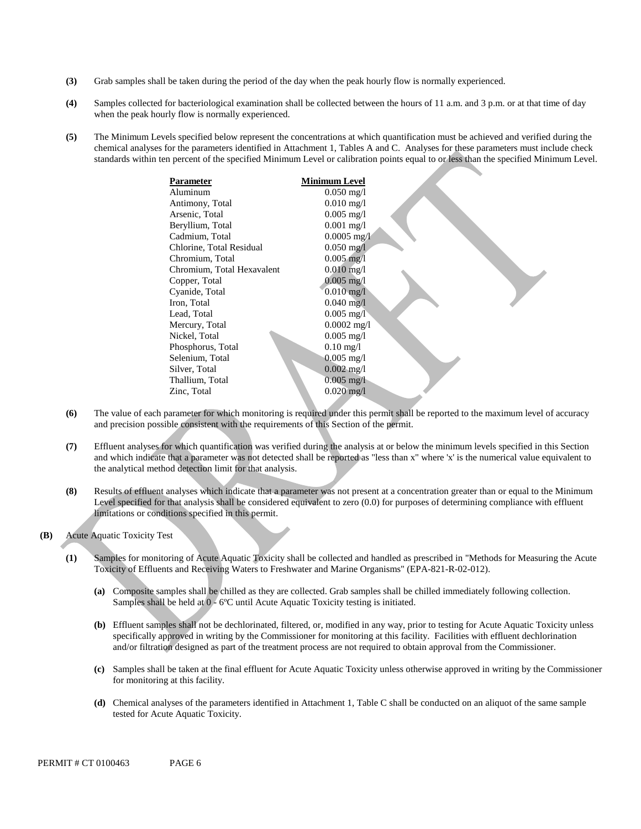- **(3)** Grab samples shall be taken during the period of the day when the peak hourly flow is normally experienced.
- **(4)** Samples collected for bacteriological examination shall be collected between the hours of 11 a.m. and 3 p.m. or at that time of day when the peak hourly flow is normally experienced.
- **(5)** The Minimum Levels specified below represent the concentrations at which quantification must be achieved and verified during the chemical analyses for the parameters identified in Attachment 1, Tables A and C. Analyses for these parameters must include check standards within ten percent of the specified Minimum Level or calibration points equal to or less than the specified Minimum Level.

| <b>Parameter</b>           | Minimum Level           |
|----------------------------|-------------------------|
| Aluminum                   | $0.050 \,\mathrm{mg}/l$ |
| Antimony, Total            | $0.010 \,\mathrm{mg}/l$ |
| Arsenic, Total             | $0.005$ mg/l            |
| Beryllium, Total           | $0.001$ mg/l            |
| Cadmium, Total             | $0.0005$ mg/l           |
| Chlorine, Total Residual   | $0.050$ mg/l            |
| Chromium, Total            | $0.005$ mg/l            |
| Chromium, Total Hexavalent | $0.010$ mg/l            |
| Copper, Total              | $0.005 \text{ mg}$ /l   |
| Cyanide, Total             | $0.010 \text{ mg/l}$    |
| Iron, Total                | $0.040$ mg/l            |
| Lead, Total                | $0.005$ mg/l            |
| Mercury, Total             | $0.0002$ mg/l           |
| Nickel, Total              | $0.005 \text{ mg}/1$    |
| Phosphorus, Total          | $0.10 \text{ mg}/1$     |
| Selenium, Total            | $0.005$ mg/l            |
| Silver, Total              | $0.002 \text{ mg}/1$    |
| Thallium, Total            | $0.005 \text{ mg/l}$    |
| Zinc, Total                | $0.020 \,\mathrm{mg}/l$ |

- **(6)** The value of each parameter for which monitoring is required under this permit shall be reported to the maximum level of accuracy and precision possible consistent with the requirements of this Section of the permit.
- **(7)** Effluent analyses for which quantification was verified during the analysis at or below the minimum levels specified in this Section and which indicate that a parameter was not detected shall be reported as "less than x" where 'x' is the numerical value equivalent to the analytical method detection limit for that analysis.
- **(8)** Results of effluent analyses which indicate that a parameter was not present at a concentration greater than or equal to the Minimum Level specified for that analysis shall be considered equivalent to zero (0.0) for purposes of determining compliance with effluent limitations or conditions specified in this permit.
- **(B)** Acute Aquatic Toxicity Test
	- **(1)** Samples for monitoring of Acute Aquatic Toxicity shall be collected and handled as prescribed in "Methods for Measuring the Acute Toxicity of Effluents and Receiving Waters to Freshwater and Marine Organisms" (EPA-821-R-02-012).
		- **(a)** Composite samples shall be chilled as they are collected. Grab samples shall be chilled immediately following collection. Samples shall be held at  $0 - 6$ °C until Acute Aquatic Toxicity testing is initiated.
		- **(b)** Effluent samples shall not be dechlorinated, filtered, or, modified in any way, prior to testing for Acute Aquatic Toxicity unless specifically approved in writing by the Commissioner for monitoring at this facility. Facilities with effluent dechlorination and/or filtration designed as part of the treatment process are not required to obtain approval from the Commissioner.
		- **(c)** Samples shall be taken at the final effluent for Acute Aquatic Toxicity unless otherwise approved in writing by the Commissioner for monitoring at this facility.
		- **(d)** Chemical analyses of the parameters identified in Attachment 1, Table C shall be conducted on an aliquot of the same sample tested for Acute Aquatic Toxicity.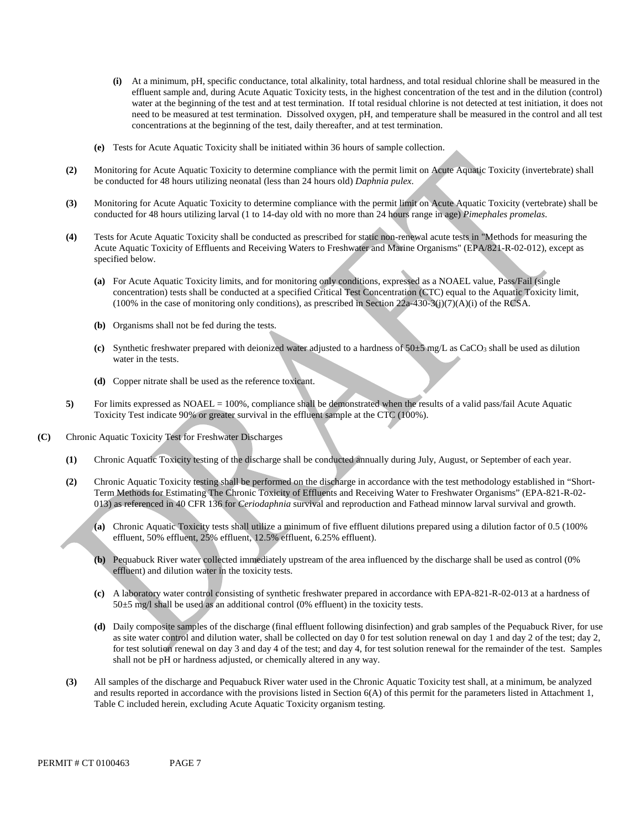- **(i)** At a minimum, pH, specific conductance, total alkalinity, total hardness, and total residual chlorine shall be measured in the effluent sample and, during Acute Aquatic Toxicity tests, in the highest concentration of the test and in the dilution (control) water at the beginning of the test and at test termination. If total residual chlorine is not detected at test initiation, it does not need to be measured at test termination. Dissolved oxygen, pH, and temperature shall be measured in the control and all test concentrations at the beginning of the test, daily thereafter, and at test termination.
- **(e)** Tests for Acute Aquatic Toxicity shall be initiated within 36 hours of sample collection.
- **(2)** Monitoring for Acute Aquatic Toxicity to determine compliance with the permit limit on Acute Aquatic Toxicity (invertebrate) shall be conducted for 48 hours utilizing neonatal (less than 24 hours old) *Daphnia pulex*.
- **(3)** Monitoring for Acute Aquatic Toxicity to determine compliance with the permit limit on Acute Aquatic Toxicity (vertebrate) shall be conducted for 48 hours utilizing larval (1 to 14-day old with no more than 24 hours range in age) *Pimephales promelas*.
- **(4)** Tests for Acute Aquatic Toxicity shall be conducted as prescribed for static non-renewal acute tests in "Methods for measuring the Acute Aquatic Toxicity of Effluents and Receiving Waters to Freshwater and Marine Organisms" (EPA/821-R-02-012), except as specified below.
	- **(a)** For Acute Aquatic Toxicity limits, and for monitoring only conditions, expressed as a NOAEL value, Pass/Fail (single concentration) tests shall be conducted at a specified Critical Test Concentration (CTC) equal to the Aquatic Toxicity limit,  $(100\%$  in the case of monitoring only conditions), as prescribed in Section 22a-430-3(j)(7)(A)(i) of the RCSA.
	- **(b)** Organisms shall not be fed during the tests.
	- (c) Synthetic freshwater prepared with deionized water adjusted to a hardness of  $50±5$  mg/L as CaCO<sub>3</sub> shall be used as dilution water in the tests.
	- **(d)** Copper nitrate shall be used as the reference toxicant.
- **5)** For limits expressed as NOAEL = 100%, compliance shall be demonstrated when the results of a valid pass/fail Acute Aquatic Toxicity Test indicate 90% or greater survival in the effluent sample at the CTC (100%).
- **(C)** Chronic Aquatic Toxicity Test for Freshwater Discharges
	- **(1)** Chronic Aquatic Toxicity testing of the discharge shall be conducted annually during July, August, or September of each year.
	- **(2)** Chronic Aquatic Toxicity testing shall be performed on the discharge in accordance with the test methodology established in "Short-Term Methods for Estimating The Chronic Toxicity of Effluents and Receiving Water to Freshwater Organisms" (EPA-821-R-02 013) as referenced in 40 CFR 136 for *Ceriodaphnia* survival and reproduction and Fathead minnow larval survival and growth.
		- **(a)** Chronic Aquatic Toxicity tests shall utilize a minimum of five effluent dilutions prepared using a dilution factor of 0.5 (100% effluent, 50% effluent, 25% effluent, 12.5% effluent, 6.25% effluent).
		- **(b)** Pequabuck River water collected immediately upstream of the area influenced by the discharge shall be used as control (0% effluent) and dilution water in the toxicity tests.
		- **(c)** A laboratory water control consisting of synthetic freshwater prepared in accordance with EPA-821-R-02-013 at a hardness of 50±5 mg/l shall be used as an additional control (0% effluent) in the toxicity tests.
		- **(d)** Daily composite samples of the discharge (final effluent following disinfection) and grab samples of the Pequabuck River, for use as site water control and dilution water, shall be collected on day 0 for test solution renewal on day 1 and day 2 of the test; day 2, for test solution renewal on day 3 and day 4 of the test; and day 4, for test solution renewal for the remainder of the test. Samples shall not be pH or hardness adjusted, or chemically altered in any way.
	- **(3)** All samples of the discharge and Pequabuck River water used in the Chronic Aquatic Toxicity test shall, at a minimum, be analyzed and results reported in accordance with the provisions listed in Section  $6(A)$  of this permit for the parameters listed in Attachment 1, Table C included herein, excluding Acute Aquatic Toxicity organism testing.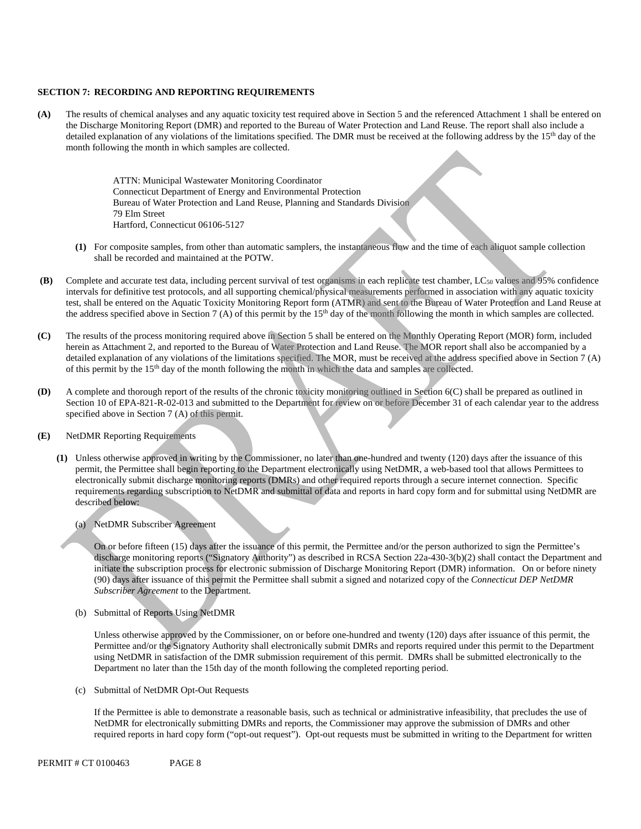#### **SECTION 7: RECORDING AND REPORTING REQUIREMENTS**

**(A)** The results of chemical analyses and any aquatic toxicity test required above in Section 5 and the referenced Attachment 1 shall be entered on the Discharge Monitoring Report (DMR) and reported to the Bureau of Water Protection and Land Reuse. The report shall also include a detailed explanation of any violations of the limitations specified. The DMR must be received at the following address by the 15<sup>th</sup> day of the month following the month in which samples are collected.

> ATTN: Municipal Wastewater Monitoring Coordinator Connecticut Department of Energy and Environmental Protection Bureau of Water Protection and Land Reuse, Planning and Standards Division 79 Elm Street Hartford, Connecticut 06106-5127

- **(1)** For composite samples, from other than automatic samplers, the instantaneous flow and the time of each aliquot sample collection shall be recorded and maintained at the POTW.
- **(B)** Complete and accurate test data, including percent survival of test organisms in each replicate test chamber, LC<sub>50</sub> values and 95% confidence intervals for definitive test protocols, and all supporting chemical/physical measurements performed in association with any aquatic toxicity test, shall be entered on the Aquatic Toxicity Monitoring Report form (ATMR) and sent to the Bureau of Water Protection and Land Reuse at the address specified above in Section 7 (A) of this permit by the  $15<sup>th</sup>$  day of the month following the month in which samples are collected.
- **(C)** The results of the process monitoring required above in Section 5 shall be entered on the Monthly Operating Report (MOR) form, included herein as Attachment 2, and reported to the Bureau of Water Protection and Land Reuse. The MOR report shall also be accompanied by a detailed explanation of any violations of the limitations specified. The MOR, must be received at the address specified above in Section 7 (A) of this permit by the 15th day of the month following the month in which the data and samples are collected.
- **(D)** A complete and thorough report of the results of the chronic toxicity monitoring outlined in Section 6(C) shall be prepared as outlined in Section 10 of EPA-821-R-02-013 and submitted to the Department for review on or before December 31 of each calendar year to the address specified above in Section 7 (A) of this permit.
- **(E)** NetDMR Reporting Requirements
	- **(1)** Unless otherwise approved in writing by the Commissioner, no later than one-hundred and twenty (120) days after the issuance of this permit, the Permittee shall begin reporting to the Department electronically using NetDMR, a web-based tool that allows Permittees to electronically submit discharge monitoring reports (DMRs) and other required reports through a secure internet connection. Specific requirements regarding subscription to NetDMR and submittal of data and reports in hard copy form and for submittal using NetDMR are described below:
		- (a) NetDMR Subscriber Agreement

On or before fifteen (15) days after the issuance of this permit, the Permittee and/or the person authorized to sign the Permittee's discharge monitoring reports ("Signatory Authority") as described in RCSA Section 22a-430-3(b)(2) shall contact the Department and initiate the subscription process for electronic submission of Discharge Monitoring Report (DMR) information. On or before ninety (90) days after issuance of this permit the Permittee shall submit a signed and notarized copy of the *Connecticut DEP NetDMR Subscriber Agreement* to the Department*.* 

(b) Submittal of Reports Using NetDMR

Unless otherwise approved by the Commissioner, on or before one-hundred and twenty (120) days after issuance of this permit, the Permittee and/or the Signatory Authority shall electronically submit DMRs and reports required under this permit to the Department using NetDMR in satisfaction of the DMR submission requirement of this permit. DMRs shall be submitted electronically to the Department no later than the 15th day of the month following the completed reporting period.

(c) Submittal of NetDMR Opt-Out Requests

If the Permittee is able to demonstrate a reasonable basis, such as technical or administrative infeasibility, that precludes the use of NetDMR for electronically submitting DMRs and reports, the Commissioner may approve the submission of DMRs and other required reports in hard copy form ("opt-out request"). Opt-out requests must be submitted in writing to the Department for written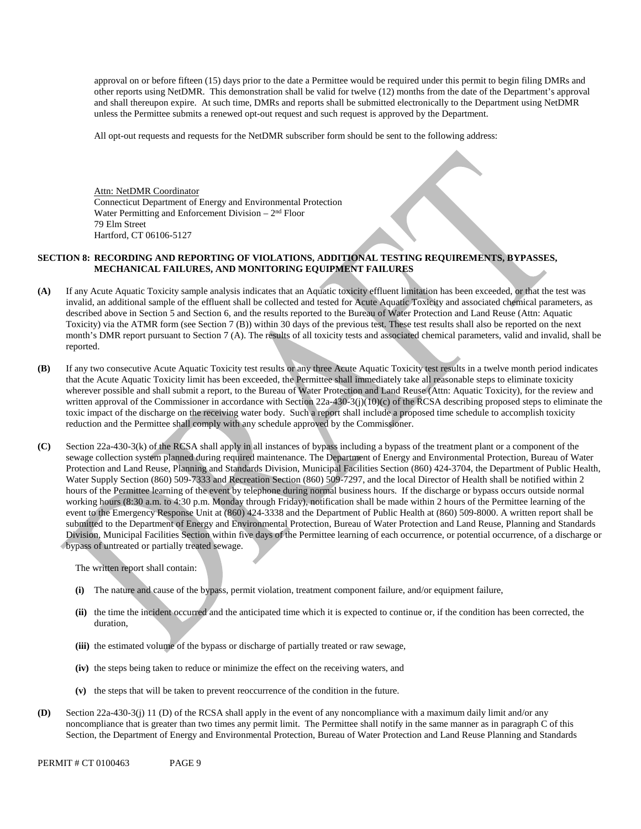and shall thereupon expire. At such time, DMRs and reports shall be submitted electronically to the Department using NetDMR approval on or before fifteen (15) days prior to the date a Permittee would be required under this permit to begin filing DMRs and other reports using NetDMR. This demonstration shall be valid for twelve (12) months from the date of the Department's approval unless the Permittee submits a renewed opt-out request and such request is approved by the Department.

All opt-out requests and requests for the NetDMR subscriber form should be sent to the following address:

Attn: NetDMR Coordinator Connecticut Department of Energy and Environmental Protection Water Permitting and Enforcement Division  $-2<sup>nd</sup>$  Floor 79 Elm Street Hartford, CT 06106-5127

### **SECTION 8: RECORDING AND REPORTING OF VIOLATIONS, ADDITIONAL TESTING REQUIREMENTS, BYPASSES, MECHANICAL FAILURES, AND MONITORING EQUIPMENT FAILURES**

- **(A)** If any Acute Aquatic Toxicity sample analysis indicates that an Aquatic toxicity effluent limitation has been exceeded, or that the test was invalid, an additional sample of the effluent shall be collected and tested for Acute Aquatic Toxicity and associated chemical parameters, as described above in Section 5 and Section 6, and the results reported to the Bureau of Water Protection and Land Reuse (Attn: Aquatic Toxicity) via the ATMR form (see Section 7 (B)) within 30 days of the previous test. These test results shall also be reported on the next month's DMR report pursuant to Section 7 (A). The results of all toxicity tests and associated chemical parameters, valid and invalid, shall be reported.
- **(B)** If any two consecutive Acute Aquatic Toxicity test results or any three Acute Aquatic Toxicity test results in a twelve month period indicates that the Acute Aquatic Toxicity limit has been exceeded, the Permittee shall immediately take all reasonable steps to eliminate toxicity wherever possible and shall submit a report, to the Bureau of Water Protection and Land Reuse (Attn: Aquatic Toxicity), for the review and written approval of the Commissioner in accordance with Section 22a-430-3(j)(10)(c) of the RCSA describing proposed steps to eliminate the toxic impact of the discharge on the receiving water body. Such a report shall include a proposed time schedule to accomplish toxicity reduction and the Permittee shall comply with any schedule approved by the Commissioner.
- **(C)** Section 22a-430-3(k) of the RCSA shall apply in all instances of bypass including a bypass of the treatment plant or a component of the sewage collection system planned during required maintenance. The Department of Energy and Environmental Protection, Bureau of Water Protection and Land Reuse, Planning and Standards Division, Municipal Facilities Section (860) 424-3704, the Department of Public Health, Water Supply Section (860) 509-7333 and Recreation Section (860) 509-7297, and the local Director of Health shall be notified within 2 hours of the Permittee learning of the event by telephone during normal business hours. If the discharge or bypass occurs outside normal working hours (8:30 a.m. to 4:30 p.m. Monday through Friday), notification shall be made within 2 hours of the Permittee learning of the event to the Emergency Response Unit at (860) 424-3338 and the Department of Public Health at (860) 509-8000. A written report shall be submitted to the Department of Energy and Environmental Protection, Bureau of Water Protection and Land Reuse, Planning and Standards Division, Municipal Facilities Section within five days of the Permittee learning of each occurrence, or potential occurrence, of a discharge or bypass of untreated or partially treated sewage.

The written report shall contain:

- **(i)** The nature and cause of the bypass, permit violation, treatment component failure, and/or equipment failure,
- **(ii)** the time the incident occurred and the anticipated time which it is expected to continue or, if the condition has been corrected, the duration,
- **(iii)** the estimated volume of the bypass or discharge of partially treated or raw sewage,
- **(iv)** the steps being taken to reduce or minimize the effect on the receiving waters, and
- **(v)** the steps that will be taken to prevent reoccurrence of the condition in the future.
- **(D)** Section 22a-430-3(j) 11 (D) of the RCSA shall apply in the event of any noncompliance with a maximum daily limit and/or any noncompliance that is greater than two times any permit limit. The Permittee shall notify in the same manner as in paragraph C of this Section, the Department of Energy and Environmental Protection, Bureau of Water Protection and Land Reuse Planning and Standards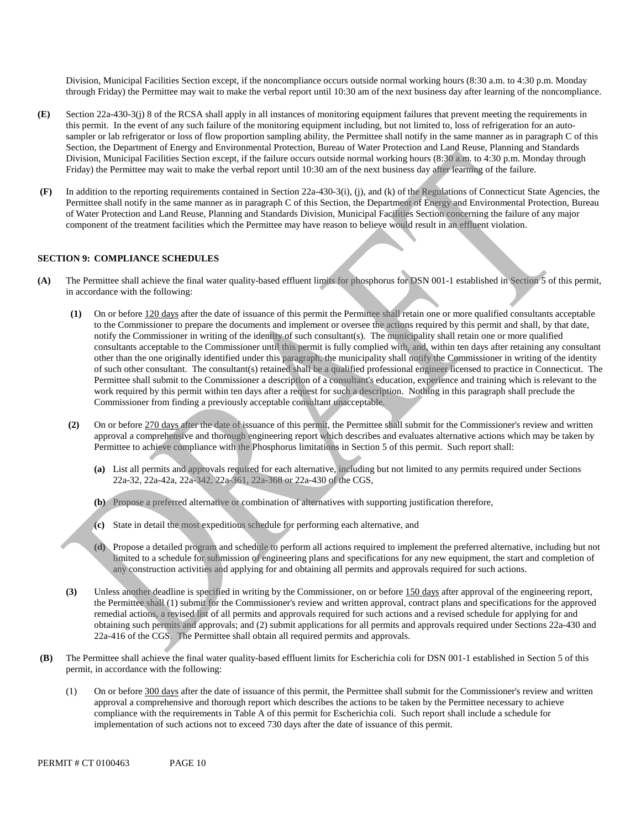Division, Municipal Facilities Section except, if the noncompliance occurs outside normal working hours (8:30 a.m. to 4:30 p.m. Monday through Friday) the Permittee may wait to make the verbal report until 10:30 am of the next business day after learning of the noncompliance.

- **(E)** Section 22a-430-3(j) 8 of the RCSA shall apply in all instances of monitoring equipment failures that prevent meeting the requirements in this permit. In the event of any such failure of the monitoring equipment including, but not limited to, loss of refrigeration for an autosampler or lab refrigerator or loss of flow proportion sampling ability, the Permittee shall notify in the same manner as in paragraph C of this Section, the Department of Energy and Environmental Protection, Bureau of Water Protection and Land Reuse, Planning and Standards Division, Municipal Facilities Section except, if the failure occurs outside normal working hours (8:30 a.m. to 4:30 p.m. Monday through Friday) the Permittee may wait to make the verbal report until 10:30 am of the next business day after learning of the failure.
- **(F)** In addition to the reporting requirements contained in Section 22a-430-3(i), (j), and (k) of the Regulations of Connecticut State Agencies, the Permittee shall notify in the same manner as in paragraph C of this Section, the Department of Energy and Environmental Protection, Bureau of Water Protection and Land Reuse, Planning and Standards Division, Municipal Facilities Section concerning the failure of any major component of the treatment facilities which the Permittee may have reason to believe would result in an effluent violation.

### **SECTION 9: COMPLIANCE SCHEDULES**

- **(A)** The Permittee shall achieve the final water quality-based effluent limits for phosphorus for DSN 001-1 established in Section 5 of this permit, in accordance with the following:
	- **(1)** On or before 120 days after the date of issuance of this permit the Permittee shall retain one or more qualified consultants acceptable to the Commissioner to prepare the documents and implement or oversee the actions required by this permit and shall, by that date, notify the Commissioner in writing of the identity of such consultant(s). The municipality shall retain one or more qualified consultants acceptable to the Commissioner until this permit is fully complied with, and, within ten days after retaining any consultant other than the one originally identified under this paragraph, the municipality shall notify the Commissioner in writing of the identity of such other consultant. The consultant(s) retained shall be a qualified professional engineer licensed to practice in Connecticut. The Permittee shall submit to the Commissioner a description of a consultant's education, experience and training which is relevant to the work required by this permit within ten days after a request for such a description. Nothing in this paragraph shall preclude the Commissioner from finding a previously acceptable consultant unacceptable.
	- **(2)** On or before 270 days after the date of issuance of this permit, the Permittee shall submit for the Commissioner's review and written approval a comprehensive and thorough engineering report which describes and evaluates alternative actions which may be taken by Permittee to achieve compliance with the Phosphorus limitations in Section 5 of this permit. Such report shall:
		- **(a)** List all permits and approvals required for each alternative, including but not limited to any permits required under Sections 22a-32, 22a-42a, 22a-342, 22a-361, 22a-368 or 22a-430 of the CGS,
		- **(b)** Propose a preferred alternative or combination of alternatives with supporting justification therefore,
		- **(c)** State in detail the most expeditious schedule for performing each alternative, and
		- **(d)** Propose a detailed program and schedule to perform all actions required to implement the preferred alternative, including but not limited to a schedule for submission of engineering plans and specifications for any new equipment, the start and completion of any construction activities and applying for and obtaining all permits and approvals required for such actions.
	- **(3)** Unless another deadline is specified in writing by the Commissioner, on or before 150 days after approval of the engineering report, the Permittee shall (1) submit for the Commissioner's review and written approval, contract plans and specifications for the approved remedial actions, a revised list of all permits and approvals required for such actions and a revised schedule for applying for and obtaining such permits and approvals; and (2) submit applications for all permits and approvals required under Sections 22a-430 and 22a-416 of the CGS. The Permittee shall obtain all required permits and approvals.
- **(B)** The Permittee shall achieve the final water quality-based effluent limits for Escherichia coli for DSN 001-1 established in Section 5 of this permit, in accordance with the following:
	- (1) On or before 300 days after the date of issuance of this permit, the Permittee shall submit for the Commissioner's review and written approval a comprehensive and thorough report which describes the actions to be taken by the Permittee necessary to achieve compliance with the requirements in Table A of this permit for Escherichia coli. Such report shall include a schedule for implementation of such actions not to exceed 730 days after the date of issuance of this permit.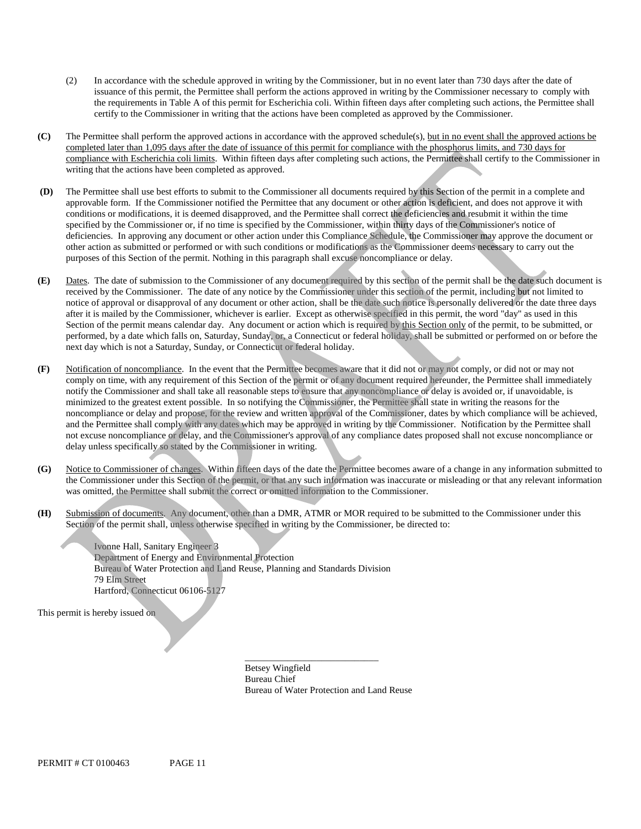- (2) In accordance with the schedule approved in writing by the Commissioner, but in no event later than 730 days after the date of issuance of this permit, the Permittee shall perform the actions approved in writing by the Commissioner necessary to comply with the requirements in Table A of this permit for Escherichia coli. Within fifteen days after completing such actions, the Permittee shall certify to the Commissioner in writing that the actions have been completed as approved by the Commissioner.
- **(C)** The Permittee shall perform the approved actions in accordance with the approved schedule(s), but in no event shall the approved actions be completed later than 1,095 days after the date of issuance of this permit for compliance with the phosphorus limits, and 730 days for compliance with Escherichia coli limits. Within fifteen days after completing such actions, the Permittee shall certify to the Commissioner in writing that the actions have been completed as approved.
- **(D)** The Permittee shall use best efforts to submit to the Commissioner all documents required by this Section of the permit in a complete and approvable form. If the Commissioner notified the Permittee that any document or other action is deficient, and does not approve it with conditions or modifications, it is deemed disapproved, and the Permittee shall correct the deficiencies and resubmit it within the time specified by the Commissioner or, if no time is specified by the Commissioner, within thirty days of the Commissioner's notice of deficiencies. In approving any document or other action under this Compliance Schedule, the Commissioner may approve the document or other action as submitted or performed or with such conditions or modifications as the Commissioner deems necessary to carry out the purposes of this Section of the permit. Nothing in this paragraph shall excuse noncompliance or delay.
- **(E)** Dates. The date of submission to the Commissioner of any document required by this section of the permit shall be the date such document is received by the Commissioner. The date of any notice by the Commissioner under this section of the permit, including but not limited to notice of approval or disapproval of any document or other action, shall be the date such notice is personally delivered or the date three days after it is mailed by the Commissioner, whichever is earlier. Except as otherwise specified in this permit, the word "day" as used in this Section of the permit means calendar day. Any document or action which is required by this Section only of the permit, to be submitted, or performed, by a date which falls on, Saturday, Sunday, or, a Connecticut or federal holiday, shall be submitted or performed on or before the next day which is not a Saturday, Sunday, or Connecticut or federal holiday.
- **(F)** Notification of noncompliance. In the event that the Permittee becomes aware that it did not or may not comply, or did not or may not comply on time, with any requirement of this Section of the permit or of any document required hereunder, the Permittee shall immediately notify the Commissioner and shall take all reasonable steps to ensure that any noncompliance or delay is avoided or, if unavoidable, is minimized to the greatest extent possible. In so notifying the Commissioner, the Permittee shall state in writing the reasons for the noncompliance or delay and propose, for the review and written approval of the Commissioner, dates by which compliance will be achiev ed, and the Permittee shall comply with any dates which may be approved in writing by the Commissioner. Notification by the Permittee sha ll not excuse noncompliance or delay, and the Commissioner's approval of any compliance dates proposed shall not excuse noncompliance or delay unless specifically so stated by the Commissioner in writing.
- **(G)** Notice to Commissioner of changes. Within fifteen days of the date the Permittee becomes aware of a change in any information submitted to the Commissioner under this Section of the permit, or that any such information was inaccurate or misleading or that any relevant information was omitted, the Permittee shall submit the correct or omitted information to the Commissioner.
- **(H)** Submission of documents. Any document, other than a DMR, ATMR or MOR required to be submitted to the Commissioner under this Section of the permit shall, unless otherwise specified in writing by the Commissioner, be directed to:

Ivonne Hall, Sanitary Engineer 3 Department of Energy and Environmental Protection Bureau of Water Protection and Land Reuse, Planning and Standards Division 79 Elm Street Hartford, Connecticut 06106-5127

This permit is hereby issued on

Betsey Wingfield Bureau Chief Bureau of Water Protection and Land Reuse

\_\_\_\_\_\_\_\_\_\_\_\_\_\_\_\_\_\_\_\_\_\_\_\_\_\_\_\_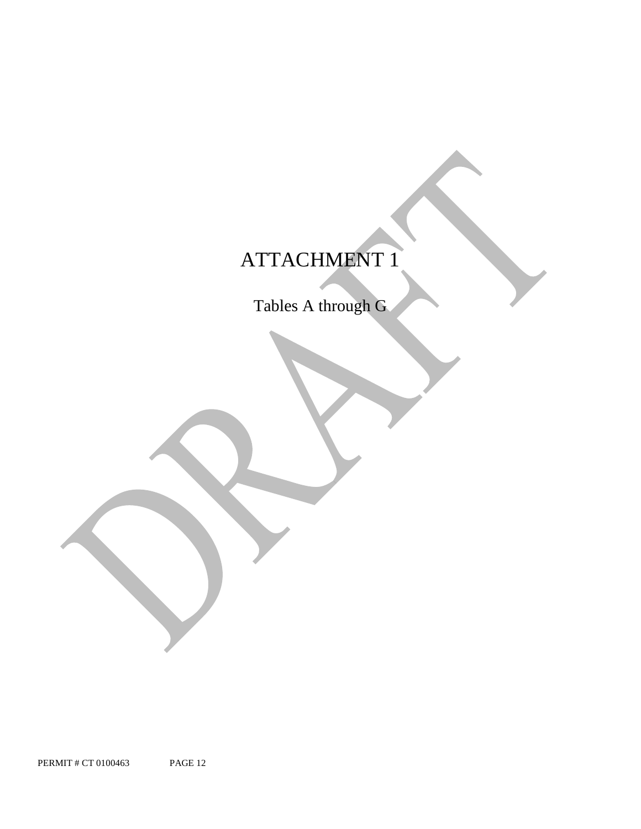## ATTACHMENT 1

Tables A through G

PERMIT # CT 0100463 PAGE 12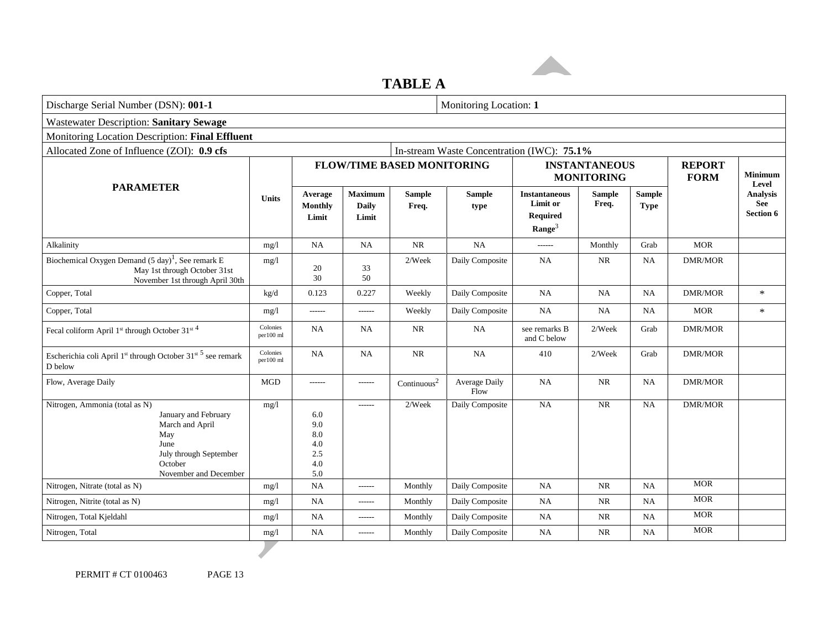### **TABLE A**

| Discharge Serial Number (DSN): 001-1                                                                                                                   |                       |                                               |                                         |                                   |                                            | Monitoring Location: 1                                                    |                                           |                              |                              |                                                                |
|--------------------------------------------------------------------------------------------------------------------------------------------------------|-----------------------|-----------------------------------------------|-----------------------------------------|-----------------------------------|--------------------------------------------|---------------------------------------------------------------------------|-------------------------------------------|------------------------------|------------------------------|----------------------------------------------------------------|
| <b>Wastewater Description: Sanitary Sewage</b>                                                                                                         |                       |                                               |                                         |                                   |                                            |                                                                           |                                           |                              |                              |                                                                |
| Monitoring Location Description: Final Effluent                                                                                                        |                       |                                               |                                         |                                   |                                            |                                                                           |                                           |                              |                              |                                                                |
| Allocated Zone of Influence (ZOI): 0.9 cfs                                                                                                             |                       |                                               |                                         |                                   | In-stream Waste Concentration (IWC): 75.1% |                                                                           |                                           |                              |                              |                                                                |
|                                                                                                                                                        |                       |                                               |                                         | <b>FLOW/TIME BASED MONITORING</b> |                                            |                                                                           | <b>INSTANTANEOUS</b><br><b>MONITORING</b> |                              | <b>REPORT</b><br><b>FORM</b> | <b>Minimum</b><br>Level<br><b>Analysis</b><br>See<br>Section 6 |
| <b>PARAMETER</b>                                                                                                                                       | <b>Units</b>          | Average<br><b>Monthly</b><br>Limit            | <b>Maximum</b><br><b>Daily</b><br>Limit | <b>Sample</b><br>Freq.            | <b>Sample</b><br>type                      | <b>Instantaneous</b><br>Limit or<br><b>Required</b><br>Range <sup>3</sup> | <b>Sample</b><br>Freq.                    | <b>Sample</b><br><b>Type</b> |                              |                                                                |
| Alkalinity                                                                                                                                             | mg/l                  | NA                                            | <b>NA</b>                               | NR                                | <b>NA</b>                                  | $-----1$                                                                  | Monthly                                   | Grab                         | <b>MOR</b>                   |                                                                |
| Biochemical Oxygen Demand $(5 \text{ day})^1$ , See remark E<br>May 1st through October 31st<br>November 1st through April 30th                        | mg/l                  | 20<br>30                                      | 33<br>50                                | 2/Week                            | Daily Composite                            | NA                                                                        | <b>NR</b>                                 | <b>NA</b>                    | <b>DMR/MOR</b>               |                                                                |
| Copper, Total                                                                                                                                          | kg/d                  | 0.123                                         | 0.227                                   | Weekly                            | Daily Composite                            | <b>NA</b>                                                                 | NA                                        | <b>NA</b>                    | <b>DMR/MOR</b>               | $\ast$                                                         |
| Copper, Total                                                                                                                                          | mg/l                  | $-----1$                                      | ------                                  | Weekly                            | Daily Composite                            | NA                                                                        | <b>NA</b>                                 | <b>NA</b>                    | <b>MOR</b>                   | $\ast$                                                         |
| Fecal coliform April 1st through October 31st 4                                                                                                        | Colonies<br>per100 ml | <b>NA</b>                                     | NA                                      | NR                                | NA                                         | see remarks B<br>and C below                                              | 2/Week                                    | Grab                         | <b>DMR/MOR</b>               |                                                                |
| Escherichia coli April 1 <sup>st</sup> through October 31 <sup>st 5</sup> see remark<br>D below                                                        | Colonies<br>per100 ml | <b>NA</b>                                     | NA                                      | <b>NR</b>                         | NA                                         | 410                                                                       | $2$ /Week                                 | Grab                         | <b>DMR/MOR</b>               |                                                                |
| Flow, Average Daily                                                                                                                                    | <b>MGD</b>            | ------                                        | ------                                  | $\mbox{Continuous}^2$             | Average Daily<br>Flow                      | NA                                                                        | NR                                        | <b>NA</b>                    | <b>DMR/MOR</b>               |                                                                |
| Nitrogen, Ammonia (total as N)<br>January and February<br>March and April<br>May<br>June<br>July through September<br>October<br>November and December | mg/l                  | 6.0<br>9.0<br>8.0<br>4.0<br>2.5<br>4.0<br>5.0 | $- - - - - -$                           | 2/Week                            | Daily Composite                            | <b>NA</b>                                                                 | NR                                        | <b>NA</b>                    | <b>DMR/MOR</b>               |                                                                |
| Nitrogen, Nitrate (total as N)                                                                                                                         | mg/l                  | NA                                            | $- - - - - -$                           | Monthly                           | Daily Composite                            | NA                                                                        | NR                                        | <b>NA</b>                    | <b>MOR</b>                   |                                                                |
| Nitrogen, Nitrite (total as N)                                                                                                                         | mg/1                  | NA                                            | ------                                  | Monthly                           | Daily Composite                            | NA                                                                        | <b>NR</b>                                 | <b>NA</b>                    | <b>MOR</b>                   |                                                                |
| Nitrogen, Total Kjeldahl                                                                                                                               | mg/1                  | NA                                            | ------                                  | Monthly                           | Daily Composite                            | NA                                                                        | NR                                        | <b>NA</b>                    | <b>MOR</b>                   |                                                                |
| Nitrogen, Total                                                                                                                                        | mg/1                  | <b>NA</b>                                     | $-----$                                 | Monthly                           | Daily Composite                            | <b>NA</b>                                                                 | NR                                        | NA.                          | <b>MOR</b>                   |                                                                |
|                                                                                                                                                        |                       |                                               |                                         |                                   |                                            |                                                                           |                                           |                              |                              |                                                                |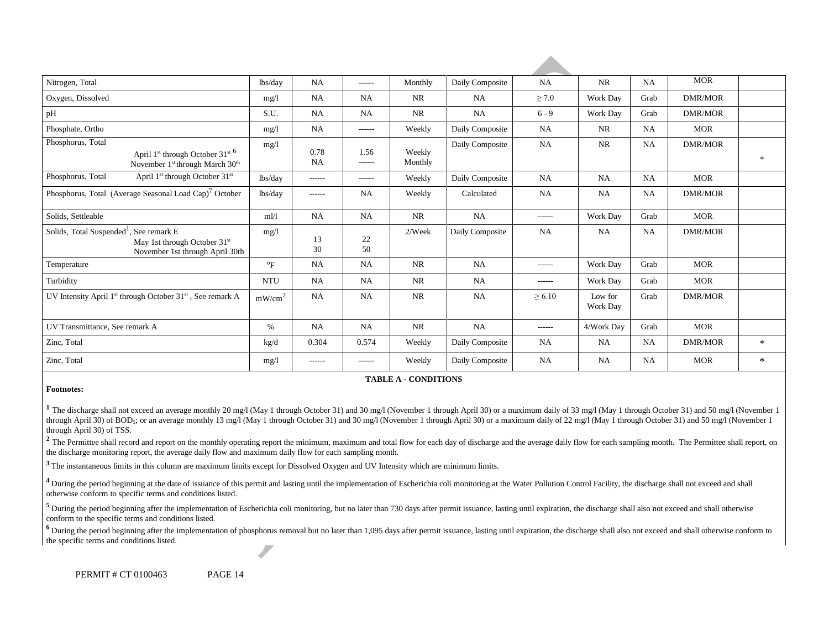| Nitrogen, Total                                                                                                                          | lbs/day                   | <b>NA</b>         | ------         | Monthly           | Daily Composite | <b>NA</b>     | <b>NR</b>           | NA        | <b>MOR</b>     |               |
|------------------------------------------------------------------------------------------------------------------------------------------|---------------------------|-------------------|----------------|-------------------|-----------------|---------------|---------------------|-----------|----------------|---------------|
| Oxygen, Dissolved                                                                                                                        | mg/1                      | <b>NA</b>         | NA             | NR                | <b>NA</b>       | $\geq 7.0$    | <b>Work Day</b>     | Grab      | <b>DMR/MOR</b> |               |
| pH                                                                                                                                       | S.U.                      | <b>NA</b>         | <b>NA</b>      | <b>NR</b>         | <b>NA</b>       | $6 - 9$       | Work Day            | Grab      | <b>DMR/MOR</b> |               |
| Phosphate, Ortho                                                                                                                         | mg/1                      | <b>NA</b>         | ------         | Weekly            | Daily Composite | <b>NA</b>     | <b>NR</b>           | NA        | <b>MOR</b>     |               |
| Phosphorus, Total<br>April 1 <sup>st</sup> through October 31 <sup>st 6</sup><br>November 1 <sup>st</sup> through March 30 <sup>th</sup> | mg/l                      | 0.78<br><b>NA</b> | 1.56<br>------ | Weekly<br>Monthly | Daily Composite | <b>NA</b>     | NR                  | NA        | <b>DMR/MOR</b> | $\frac{1}{2}$ |
| Phosphorus, Total<br>April 1 <sup>st</sup> through October 31 <sup>st</sup>                                                              | lbs/day                   | ------            | ------         | Weekly            | Daily Composite | <b>NA</b>     | <b>NA</b>           | NA        | <b>MOR</b>     |               |
| Phosphorus, Total (Average Seasonal Load Cap) <sup>7</sup> October                                                                       | lbs/day                   | ------            | <b>NA</b>      | Weekly            | Calculated      | NA            | <b>NA</b>           | NA        | <b>DMR/MOR</b> |               |
| Solids, Settleable                                                                                                                       | m1/1                      | <b>NA</b>         | <b>NA</b>      | <b>NR</b>         | <b>NA</b>       | $- - - - - -$ | <b>Work Day</b>     | Grab      | <b>MOR</b>     |               |
| Solids, Total Suspended <sup>1</sup> ,<br>See remark E<br>May 1st through October 31 <sup>st</sup><br>November 1st through April 30th    | mg/1                      | 13<br>30          | 22<br>50       | $2$ /Week         | Daily Composite | <b>NA</b>     | NA                  | NA        | <b>DMR/MOR</b> |               |
| Temperature                                                                                                                              | $\mathrm{P}_{\mathrm{F}}$ | <b>NA</b>         | <b>NA</b>      | <b>NR</b>         | <b>NA</b>       | $- - - - - -$ | <b>Work Day</b>     | Grab      | <b>MOR</b>     |               |
| Turbidity                                                                                                                                | <b>NTU</b>                | <b>NA</b>         | <b>NA</b>      | <b>NR</b>         | <b>NA</b>       | ------        | Work Day            | Grab      | <b>MOR</b>     |               |
| UV Intensity April 1 <sup>st</sup> through October 31 <sup>st</sup> , See remark A                                                       | mW/cm <sup>2</sup>        | <b>NA</b>         | <b>NA</b>      | <b>NR</b>         | <b>NA</b>       | $\geq 6.10$   | Low for<br>Work Day | Grab      | <b>DMR/MOR</b> |               |
| UV Transmittance, See remark A                                                                                                           | $\%$                      | <b>NA</b>         | NA             | <b>NR</b>         | NA              | ------        | 4/Work Day          | Grab      | <b>MOR</b>     |               |
| Zinc, Total                                                                                                                              | kg/d                      | 0.304             | 0.574          | Weekly            | Daily Composite | NA            | <b>NA</b>           | NA        | DMR/MOR        | $\ast$        |
| Zinc, Total                                                                                                                              | mg/1                      | ------            | ------         | Weekly            | Daily Composite | <b>NA</b>     | <b>NA</b>           | <b>NA</b> | <b>MOR</b>     | $\ast$        |

#### **TABLE A - CONDITIONS**

#### **Footnotes:**

<sup>1</sup> The discharge shall not exceed an average monthly 20 mg/l (May 1 through October 31) and 30 mg/l (November 1 through April 30) or a maximum daily of 33 mg/l (May 1 through October 31) and 50 mg/l (November 1 through April 30) of BOD<sub>5</sub>; or an average monthly 13 mg/l (May 1 through October 31) and 30 mg/l (November 1 through April 30) or a maximum daily of 22 mg/l (May 1 through October 31) and 50 mg/l (November 1 through April 30) of TSS.

<sup>2</sup> The Permittee shall record and report on the monthly operating report the minimum, maximum and total flow for each day of discharge and the average daily flow for each sampling month. The Permittee shall report, on the discharge monitoring report, the average daily flow and maximum daily flow for each sampling month.

**<sup>3</sup>**The instantaneous limits in this column are maximum limits except for Dissolved Oxygen and UV Intensity which are minimum limits.

<sup>4</sup> During the period beginning at the date of issuance of this permit and lasting until the implementation of Escherichia coli monitoring at the Water Pollution Control Facility, the discharge shall not exceed and shall otherwise conform to specific terms and conditions listed.

<sup>5</sup> During the period beginning after the implementation of Escherichia coli monitoring, but no later than 730 days after permit issuance, lasting until expiration, the discharge shall also not exceed and shall otherwise conform to the specific terms and conditions listed.

<sup>6</sup> During the period beginning after the implementation of phosphorus removal but no later than 1,095 days after permit issuance, lasting until expiration, the discharge shall also not exceed and shall otherwise conform t the specific terms and conditions listed.

PERMIT # CT 0100463 PAGE 14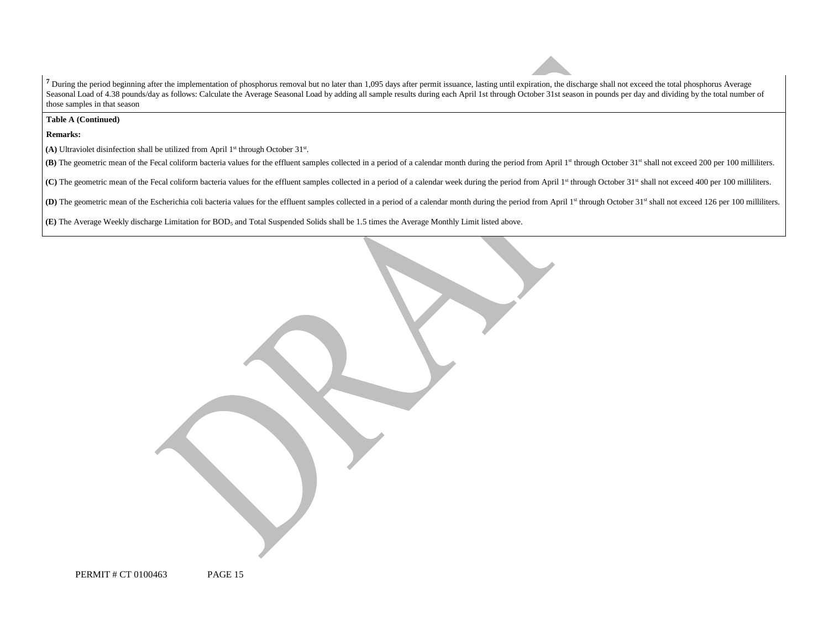<sup>7</sup> During the period beginning after the implementation of phosphorus removal but no later than 1,095 days after permit issuance, lasting until expiration, the discharge shall not exceed the total phosphorus Average Seasonal Load of 4.38 pounds/day as follows: Calculate the Average Seasonal Load by adding all sample results during each April 1st through October 31st season in pounds per day and dividing by the total number of those samples in that season

**Table A (Continued)** 

**Remarks:** 

(A) Ultraviolet disinfection shall be utilized from April 1<sup>st</sup> through October 31<sup>st</sup>.

(B) The geometric mean of the Fecal coliform bacteria values for the effluent samples collected in a period of a calendar month during the period from April 1st through October 31st shall not exceed 200 per 100 milliliters

(C) The geometric mean of the Fecal coliform bacteria values for the effluent samples collected in a period of a calendar week during the period from April 1st through October 31st shall not exceed 400 per 100 millilters.

(D) The geometric mean of the Escherichia coli bacteria values for the effluent samples collected in a period of a calendar month during the period from April 1st through October 31st shall not exceed 126 per 100 millilite

**(E)** The Average Weekly discharge Limitation for BOD5 and Total Suspended Solids shall be 1.5 times the Average Monthly Limit listed above.

PERMIT # CT 0100463 PAGE 15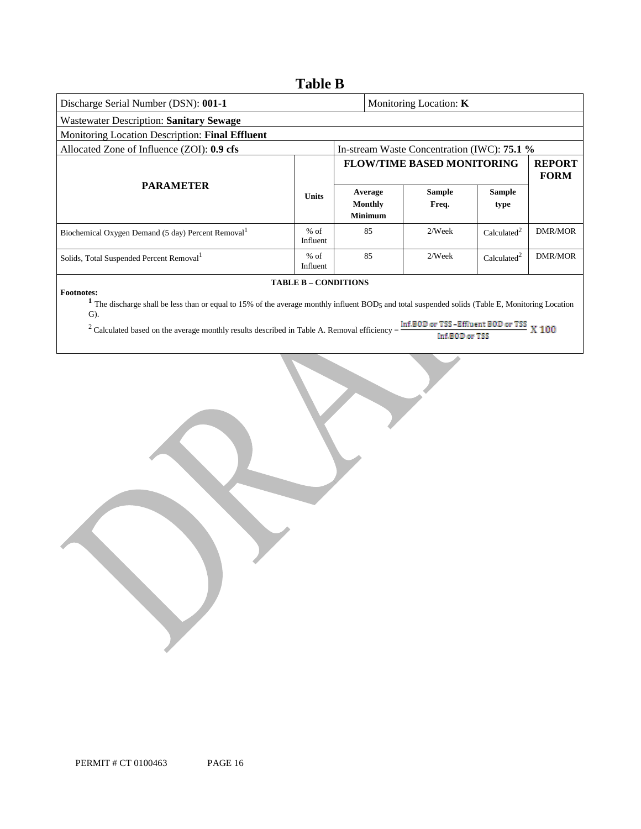| Wastewater Description: Sanitary Sewage |                                                          |                                                                                                                                                                                       |                               |                                                                                                                                                                                                                                                                                                                                          |  |  |  |  |
|-----------------------------------------|----------------------------------------------------------|---------------------------------------------------------------------------------------------------------------------------------------------------------------------------------------|-------------------------------|------------------------------------------------------------------------------------------------------------------------------------------------------------------------------------------------------------------------------------------------------------------------------------------------------------------------------------------|--|--|--|--|
|                                         |                                                          |                                                                                                                                                                                       |                               |                                                                                                                                                                                                                                                                                                                                          |  |  |  |  |
|                                         |                                                          |                                                                                                                                                                                       |                               |                                                                                                                                                                                                                                                                                                                                          |  |  |  |  |
|                                         |                                                          |                                                                                                                                                                                       | <b>REPORT</b><br><b>FORM</b>  |                                                                                                                                                                                                                                                                                                                                          |  |  |  |  |
|                                         |                                                          | <b>Sample</b><br>Freq.                                                                                                                                                                | <b>Sample</b><br>type         |                                                                                                                                                                                                                                                                                                                                          |  |  |  |  |
|                                         | 85                                                       | 2/Week                                                                                                                                                                                | Calculated <sup>2</sup>       | <b>DMR/MOR</b>                                                                                                                                                                                                                                                                                                                           |  |  |  |  |
|                                         | 85                                                       | 2/Week                                                                                                                                                                                | Calculated <sup>2</sup>       | DMR/MOR                                                                                                                                                                                                                                                                                                                                  |  |  |  |  |
|                                         |                                                          |                                                                                                                                                                                       |                               | X 100                                                                                                                                                                                                                                                                                                                                    |  |  |  |  |
|                                         | <b>Units</b><br>$%$ of<br>Influent<br>$%$ of<br>Influent | Average<br><b>Monthly</b><br><b>Minimum</b><br><b>TABLE B - CONDITIONS</b><br><sup>2</sup> Calculated based on the average monthly results described in Table A. Removal efficiency = | Monitoring Location: <b>K</b> | In-stream Waste Concentration (IWC): 75.1 %<br><b>FLOW/TIME BASED MONITORING</b><br><sup>1</sup> The discharge shall be less than or equal to 15% of the average monthly influent BOD <sub>5</sub> and total suspended solids (Table E, Monitoring Location<br>Inf.BOD or TSS -Effluent BOD or TSS<br><b>IN AN INFORMATION CONTINUES</b> |  |  |  |  |

Inf.BOD or TSS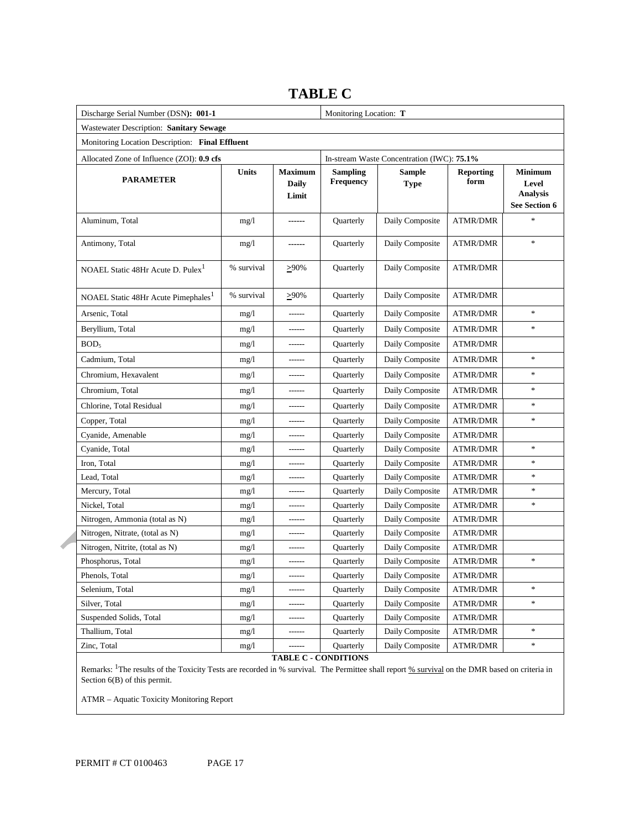| Discharge Serial Number (DSN): 001-1            | Monitoring Location: T |                                  |                              |                                            |                          |                                     |
|-------------------------------------------------|------------------------|----------------------------------|------------------------------|--------------------------------------------|--------------------------|-------------------------------------|
| Wastewater Description: Sanitary Sewage         |                        |                                  |                              |                                            |                          |                                     |
| Monitoring Location Description: Final Effluent |                        |                                  |                              |                                            |                          |                                     |
| Allocated Zone of Influence (ZOI): 0.9 cfs      |                        |                                  |                              | In-stream Waste Concentration (IWC): 75.1% |                          |                                     |
| <b>PARAMETER</b>                                | <b>Units</b>           | <b>Maximum</b><br>Daily<br>Limit | <b>Sampling</b><br>Frequency | <b>Sample</b><br><b>Type</b>               | <b>Reporting</b><br>form | Minimum<br>Level<br><b>Analysis</b> |
| Aluminum, Total                                 | mg/1                   | ------                           | Quarterly                    | Daily Composite                            | <b>ATMR/DMR</b>          | See Section 6<br>$\ast$             |
| Antimony, Total                                 | mg/1                   | ------                           | Quarterly                    | Daily Composite                            | <b>ATMR/DMR</b>          | $\ast$                              |
| NOAEL Static 48Hr Acute D. Pulex <sup>1</sup>   | % survival             | $\geq 90\%$                      | Quarterly                    | Daily Composite                            | <b>ATMR/DMR</b>          |                                     |
| NOAEL Static 48Hr Acute Pimephales <sup>1</sup> | % survival             | $>90\%$                          | Quarterly                    | Daily Composite                            | <b>ATMR/DMR</b>          |                                     |
| Arsenic, Total                                  | mg/1                   | ------                           | Quarterly                    | Daily Composite                            | <b>ATMR/DMR</b>          | $\ast$                              |
| Beryllium, Total                                | mg/1                   | ------                           | <b>Ouarterly</b>             | Daily Composite                            | <b>ATMR/DMR</b>          | $\ast$                              |
| BOD <sub>5</sub>                                | mg/1                   | ------                           | Quarterly                    | Daily Composite                            | <b>ATMR/DMR</b>          |                                     |
| Cadmium, Total                                  | mg/1                   | ------                           | <b>Ouarterly</b>             | Daily Composite                            | <b>ATMR/DMR</b>          | $\ast$                              |
| Chromium, Hexavalent                            | mg/1                   | ------                           | Quarterly                    | Daily Composite                            | <b>ATMR/DMR</b>          | $\ast$                              |
| Chromium, Total                                 | mg/1                   | ------                           | Quarterly                    | Daily Composite                            | <b>ATMR/DMR</b>          | $\frac{1}{2}$                       |
| Chlorine, Total Residual                        | mg/1                   | ------                           | Quarterly                    | Daily Composite                            | <b>ATMR/DMR</b>          | $\ast$                              |
| Copper, Total                                   | mg/1                   | ------                           | Quarterly                    | Daily Composite                            | <b>ATMR/DMR</b>          | $\ast$                              |
| Cyanide, Amenable                               | mg/1                   | ------                           | Quarterly                    | Daily Composite                            | <b>ATMR/DMR</b>          |                                     |
| Cyanide, Total                                  | mg/1                   | ------                           | Quarterly                    | Daily Composite                            | <b>ATMR/DMR</b>          | $\ast$                              |
| Iron, Total                                     | mg/1                   | ------                           | Quarterly                    | Daily Composite                            | <b>ATMR/DMR</b>          | *                                   |
| Lead, Total                                     | mg/1                   | ------                           | Quarterly                    | Daily Composite                            | ATMR/DMR                 | $\frac{d\mathbf{x}}{d\mathbf{x}}$   |
| Mercury, Total                                  | mg/1                   | ------                           | Quarterly                    | Daily Composite                            | <b>ATMR/DMR</b>          | $\ast$                              |
| Nickel, Total                                   | mg/1                   | ------                           | Quarterly                    | Daily Composite                            | <b>ATMR/DMR</b>          | $\ast$                              |
| Nitrogen, Ammonia (total as N)                  | mg/1                   | ------                           | Quarterly                    | Daily Composite                            | <b>ATMR/DMR</b>          |                                     |
| Nitrogen, Nitrate, (total as N)                 | mg/1                   | ------                           | Quarterly                    | Daily Composite                            | <b>ATMR/DMR</b>          |                                     |
| Nitrogen, Nitrite, (total as N)                 | mg/1                   | ------                           | Quarterly                    | Daily Composite                            | ATMR/DMR                 |                                     |
| Phosphorus, Total                               | mg/1                   |                                  | Quarterly                    | Daily Composite                            | <b>ATMR/DMR</b>          | $\ast$                              |
| Phenols, Total                                  | mg/1                   | ------                           | Quarterly                    | Daily Composite                            | ATMR/DMR                 |                                     |
| Selenium, Total                                 | mg/1                   |                                  | Quarterly                    | Daily Composite                            | ATMR/DMR                 | $\ast$                              |
| Silver, Total                                   | mg/1                   | ------                           | Quarterly                    | Daily Composite                            | ATMR/DMR                 | $\ast$                              |
| Suspended Solids, Total                         | mg/l                   |                                  | Quarterly                    | Daily Composite                            | ATMR/DMR                 |                                     |
| Thallium, Total                                 | mg/1                   |                                  | Quarterly                    | Daily Composite                            | <b>ATMR/DMR</b>          | $\ast$                              |
| Zinc, Total                                     | mg/1                   |                                  | Quarterly                    | Daily Composite                            | ATMR/DMR                 | $\ast$                              |

### **TABLE C**

Remarks: <sup>1</sup>The results of the Toxicity Tests are recorded in % survival. The Permittee shall report % survival on the DMR based on criteria in Section 6(B) of this permit.

ATMR – Aquatic Toxicity Monitoring Report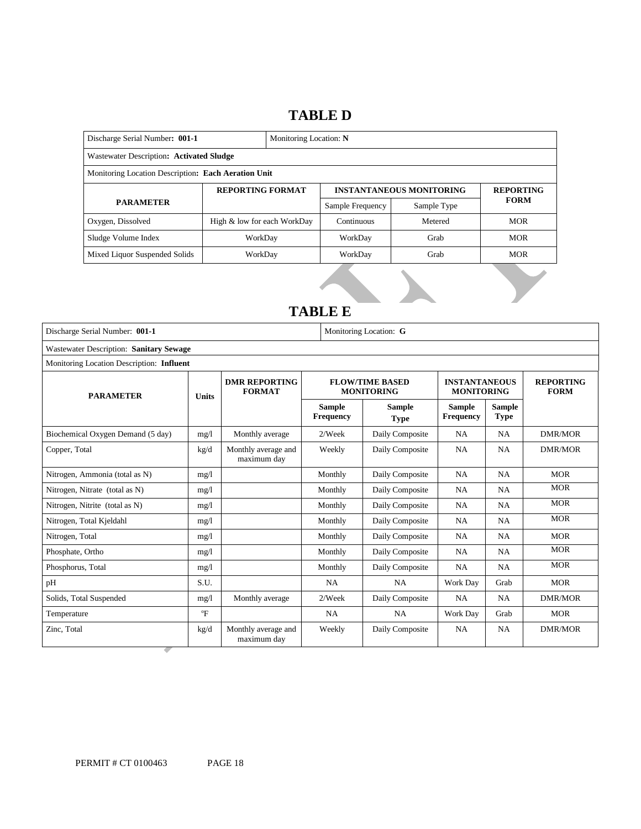### **TABLE D**

| Discharge Serial Number: 001-1<br>Monitoring Location: N |                             |  |                  |                                 |                  |  |  |
|----------------------------------------------------------|-----------------------------|--|------------------|---------------------------------|------------------|--|--|
| Wastewater Description: Activated Sludge                 |                             |  |                  |                                 |                  |  |  |
| Monitoring Location Description: Each Aeration Unit      |                             |  |                  |                                 |                  |  |  |
| <b>REPORTING FORMAT</b>                                  |                             |  |                  | <b>INSTANTANEOUS MONITORING</b> | <b>REPORTING</b> |  |  |
| <b>PARAMETER</b>                                         |                             |  | Sample Frequency | Sample Type                     | <b>FORM</b>      |  |  |
| Oxygen, Dissolved                                        | High & low for each WorkDay |  | Continuous       | Metered                         | <b>MOR</b>       |  |  |
| Sludge Volume Index                                      | WorkDay                     |  | WorkDay          | Grab                            | <b>MOR</b>       |  |  |
| Mixed Liquor Suspended Solids                            | WorkDay                     |  | WorkDay          | Grab                            | <b>MOR</b>       |  |  |
|                                                          |                             |  |                  |                                 |                  |  |  |

### **TABLE E**

| Discharge Serial Number: 001-1                 |              | Monitoring Location: G                |                            |                                             |                                           |                              |                                 |  |
|------------------------------------------------|--------------|---------------------------------------|----------------------------|---------------------------------------------|-------------------------------------------|------------------------------|---------------------------------|--|
| <b>Wastewater Description: Sanitary Sewage</b> |              |                                       |                            |                                             |                                           |                              |                                 |  |
| Monitoring Location Description: Influent      |              |                                       |                            |                                             |                                           |                              |                                 |  |
| <b>PARAMETER</b><br><b>Units</b>               |              | <b>DMR REPORTING</b><br><b>FORMAT</b> |                            | <b>FLOW/TIME BASED</b><br><b>MONITORING</b> | <b>INSTANTANEOUS</b><br><b>MONITORING</b> |                              | <b>REPORTING</b><br><b>FORM</b> |  |
|                                                |              |                                       | <b>Sample</b><br>Frequency | <b>Sample</b><br><b>Type</b>                | <b>Sample</b><br>Frequency                | <b>Sample</b><br><b>Type</b> |                                 |  |
| Biochemical Oxygen Demand (5 day)              | mg/l         | Monthly average                       | $2$ /Week                  | Daily Composite                             | <b>NA</b>                                 | <b>NA</b>                    | DMR/MOR                         |  |
| Copper, Total                                  | kg/d         | Monthly average and<br>maximum day    | Weekly                     | Daily Composite                             | <b>NA</b>                                 | <b>NA</b>                    | <b>DMR/MOR</b>                  |  |
| Nitrogen, Ammonia (total as N)                 | mg/1         |                                       | Monthly                    | Daily Composite                             | <b>NA</b>                                 | <b>NA</b>                    | <b>MOR</b>                      |  |
| Nitrogen, Nitrate (total as N)                 | mg/1         |                                       | Monthly                    | Daily Composite                             | <b>NA</b>                                 | <b>NA</b>                    | <b>MOR</b>                      |  |
| Nitrogen, Nitrite (total as N)                 | mg/1         |                                       | Monthly                    | Daily Composite                             | <b>NA</b>                                 | <b>NA</b>                    | <b>MOR</b>                      |  |
| Nitrogen, Total Kjeldahl                       | mg/1         |                                       | Monthly                    | Daily Composite                             | <b>NA</b>                                 | <b>NA</b>                    | <b>MOR</b>                      |  |
| Nitrogen, Total                                | mg/1         |                                       | Monthly                    | Daily Composite                             | <b>NA</b>                                 | <b>NA</b>                    | <b>MOR</b>                      |  |
| Phosphate, Ortho                               | mg/l         |                                       | Monthly                    | Daily Composite                             | <b>NA</b>                                 | <b>NA</b>                    | <b>MOR</b>                      |  |
| Phosphorus, Total                              | mg/1         |                                       | Monthly                    | Daily Composite                             | <b>NA</b>                                 | <b>NA</b>                    | <b>MOR</b>                      |  |
| pH                                             | S.U.         |                                       | <b>NA</b>                  | <b>NA</b>                                   | Work Day                                  | Grab                         | <b>MOR</b>                      |  |
| Solids, Total Suspended                        | mg/l         | Monthly average                       | $2$ /Week                  | Daily Composite                             | <b>NA</b>                                 | <b>NA</b>                    | <b>DMR/MOR</b>                  |  |
| Temperature                                    | $\mathrm{P}$ |                                       | <b>NA</b>                  | <b>NA</b>                                   | Work Day                                  | Grab                         | <b>MOR</b>                      |  |
| Zinc, Total<br>-                               | kg/d         | Monthly average and<br>maximum day    | Weekly                     | Daily Composite                             | <b>NA</b>                                 | <b>NA</b>                    | <b>DMR/MOR</b>                  |  |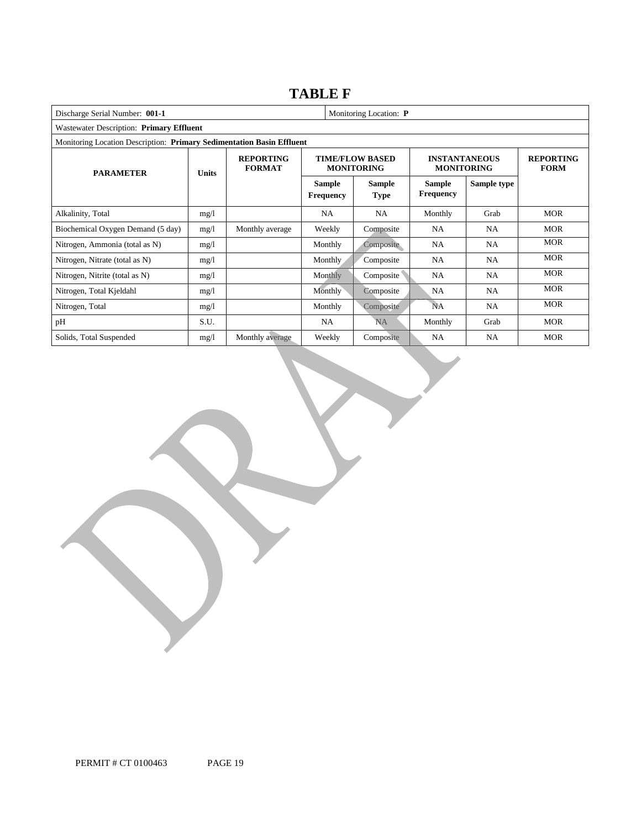### **TABLE F**

| Discharge Serial Number: 001-1<br>Monitoring Location: P              |              |                                   |                                   |                                             |                                           |                                 |            |  |
|-----------------------------------------------------------------------|--------------|-----------------------------------|-----------------------------------|---------------------------------------------|-------------------------------------------|---------------------------------|------------|--|
| Wastewater Description: Primary Effluent                              |              |                                   |                                   |                                             |                                           |                                 |            |  |
| Monitoring Location Description: Primary Sedimentation Basin Effluent |              |                                   |                                   |                                             |                                           |                                 |            |  |
| <b>PARAMETER</b>                                                      | <b>Units</b> | <b>REPORTING</b><br><b>FORMAT</b> |                                   | <b>TIME/FLOW BASED</b><br><b>MONITORING</b> | <b>INSTANTANEOUS</b><br><b>MONITORING</b> | <b>REPORTING</b><br><b>FORM</b> |            |  |
|                                                                       |              |                                   | <b>Sample</b><br><b>Frequency</b> | <b>Sample</b><br><b>Type</b>                | <b>Sample</b><br><b>Frequency</b>         | Sample type                     |            |  |
| Alkalinity, Total                                                     | mg/l         |                                   | NA.                               | NA.                                         | Monthly                                   | Grab                            | <b>MOR</b> |  |
| Biochemical Oxygen Demand (5 day)                                     | mg/1         | Monthly average                   | Weekly                            | Composite                                   | NA.                                       | NA.                             | <b>MOR</b> |  |
| Nitrogen, Ammonia (total as N)                                        | mg/l         |                                   | Monthly                           | Composite                                   | <b>NA</b>                                 | NA.                             | <b>MOR</b> |  |
| Nitrogen, Nitrate (total as N)                                        | mg/1         |                                   | <b>Monthly</b>                    | Composite                                   | NA                                        | NA                              | <b>MOR</b> |  |
| Nitrogen, Nitrite (total as N)                                        | mg/1         |                                   | <b>Monthly</b>                    | Composite                                   | NA                                        | NA                              | <b>MOR</b> |  |
| Nitrogen, Total Kjeldahl                                              | mg/1         |                                   | Monthly                           | Composite                                   | NA                                        | NA.                             | <b>MOR</b> |  |
| Nitrogen, Total                                                       | mg/1         |                                   | Monthly                           | Composite                                   | NA                                        | NA.                             | <b>MOR</b> |  |
| pH                                                                    | S.U.         |                                   | <b>NA</b>                         | <b>NA</b>                                   | Monthly                                   | Grab                            | <b>MOR</b> |  |
| Solids, Total Suspended                                               | mg/l         | Monthly average                   | Weekly                            | Composite                                   | <b>NA</b>                                 | NA.                             | <b>MOR</b> |  |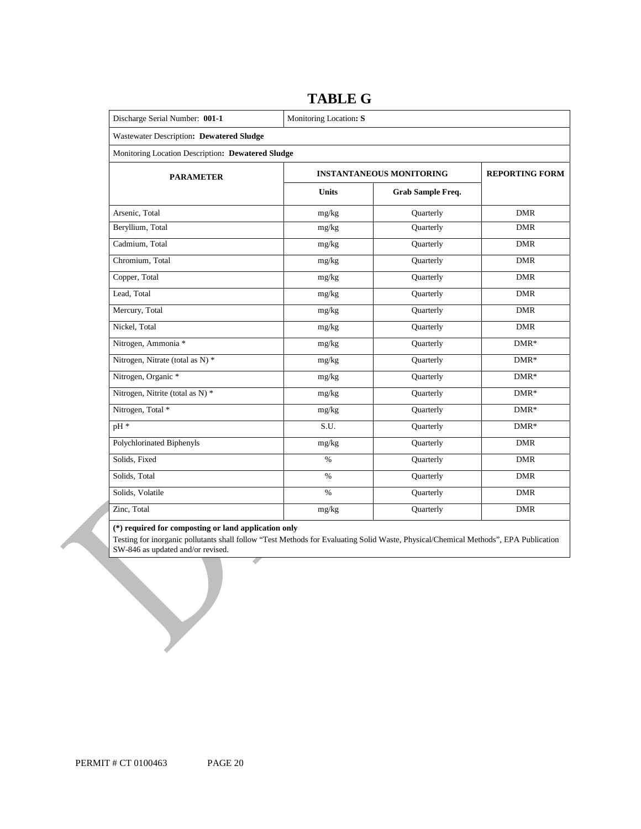| Discharge Serial Number: 001-1                    | Monitoring Location: S |                                 |                       |  |  |  |  |
|---------------------------------------------------|------------------------|---------------------------------|-----------------------|--|--|--|--|
| Wastewater Description: Dewatered Sludge          |                        |                                 |                       |  |  |  |  |
| Monitoring Location Description: Dewatered Sludge |                        |                                 |                       |  |  |  |  |
| <b>PARAMETER</b>                                  |                        | <b>INSTANTANEOUS MONITORING</b> | <b>REPORTING FORM</b> |  |  |  |  |
|                                                   | <b>Units</b>           | <b>Grab Sample Freq.</b>        |                       |  |  |  |  |
| Arsenic, Total                                    | mg/kg                  | Quarterly                       | <b>DMR</b>            |  |  |  |  |
| Beryllium, Total                                  | mg/kg                  | Quarterly                       | <b>DMR</b>            |  |  |  |  |
| Cadmium, Total                                    | mg/kg                  | Quarterly                       | <b>DMR</b>            |  |  |  |  |
| Chromium, Total                                   | mg/kg                  | Quarterly                       | <b>DMR</b>            |  |  |  |  |
| Copper, Total                                     | mg/kg                  | Quarterly                       | <b>DMR</b>            |  |  |  |  |
| Lead, Total                                       | mg/kg                  | Quarterly                       | <b>DMR</b>            |  |  |  |  |
| Mercury, Total                                    | mg/kg                  | Quarterly                       | <b>DMR</b>            |  |  |  |  |
| Nickel, Total                                     | mg/kg                  | Quarterly                       | <b>DMR</b>            |  |  |  |  |
| Nitrogen, Ammonia *                               | mg/kg                  | Quarterly                       | $DMR*$                |  |  |  |  |
| Nitrogen, Nitrate (total as N) *                  | mg/kg                  | Quarterly                       | $DMR*$                |  |  |  |  |
| Nitrogen, Organic *                               | mg/kg                  | Quarterly                       | $DMR*$                |  |  |  |  |
| Nitrogen, Nitrite (total as N) *                  | mg/kg                  | Quarterly                       | $DMR*$                |  |  |  |  |
| Nitrogen, Total *                                 | mg/kg                  | Quarterly                       | $DMR*$                |  |  |  |  |
| pH *                                              | S.U.                   | Quarterly                       | $DMR*$                |  |  |  |  |
| Polychlorinated Biphenyls                         | mg/kg                  | Quarterly                       | <b>DMR</b>            |  |  |  |  |
| Solids, Fixed                                     | $\%$                   | Quarterly                       | <b>DMR</b>            |  |  |  |  |
| Solids, Total                                     | $\%$                   | Quarterly                       | <b>DMR</b>            |  |  |  |  |
| Solids, Volatile                                  | $\%$                   | Quarterly                       | <b>DMR</b>            |  |  |  |  |
| Zinc, Total                                       | mg/kg                  | Quarterly                       | <b>DMR</b>            |  |  |  |  |

### **TABLE G**

#### **(\*) required for composting or land application only**

 Testing for inorganic pollutants shall follow "Test Methods for Evaluating Solid Waste, Physical/Chemical Methods", EPA Publication SW-846 as updated and/or revised.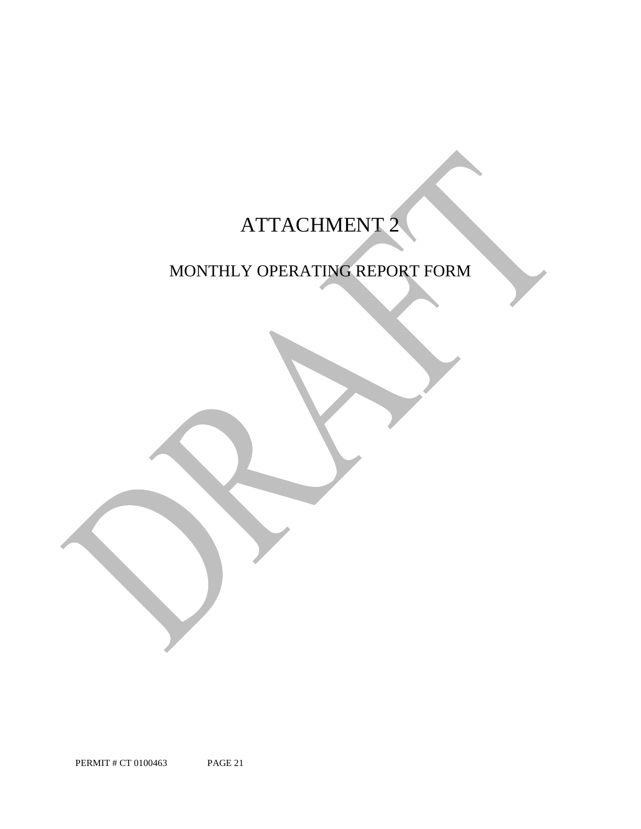# ATTACHMENT 2

## MONTHLY OPERATING REPORT FORM

PERMIT # CT 0100463 PAGE 21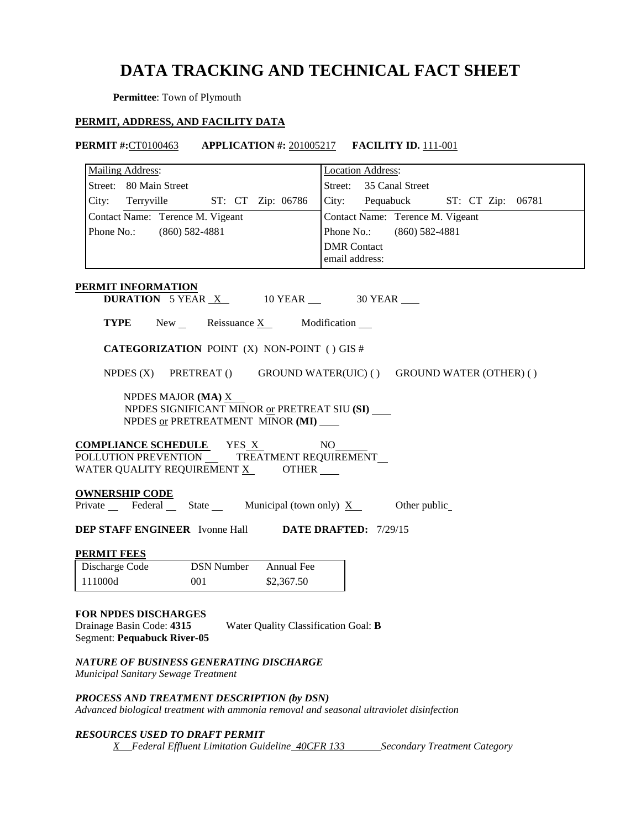### **DATA TRACKING AND TECHNICAL FACT SHEET**

**Permittee**: Town of Plymouth

### **PERMIT, ADDRESS, AND FACILITY DATA**

| <b>PERMIT #:CT0100463</b>                                                                                                              | <b>APPLICATION #: 201005217 FACILITY ID. 111-001</b>                       |  |  |  |  |
|----------------------------------------------------------------------------------------------------------------------------------------|----------------------------------------------------------------------------|--|--|--|--|
| <b>Mailing Address:</b>                                                                                                                | <b>Location Address:</b>                                                   |  |  |  |  |
| Street: 80 Main Street                                                                                                                 | Street: 35 Canal Street                                                    |  |  |  |  |
| ST: CT Zip: 06786<br>City: Terryville                                                                                                  | City: Pequabuck<br>ST: CT Zip: 06781                                       |  |  |  |  |
| Contact Name: Terence M. Vigeant                                                                                                       | Contact Name: Terence M. Vigeant                                           |  |  |  |  |
| Phone No.: (860) 582-4881                                                                                                              | Phone No.:<br>$(860)$ 582-4881                                             |  |  |  |  |
|                                                                                                                                        | <b>DMR</b> Contact                                                         |  |  |  |  |
|                                                                                                                                        | email address:                                                             |  |  |  |  |
| <b>PERMIT INFORMATION</b>                                                                                                              |                                                                            |  |  |  |  |
| <b>DURATION</b> 5 YEAR $X$ 10 YEAR $\_\$ 30 YEAR                                                                                       |                                                                            |  |  |  |  |
| <b>TYPE</b> New Reissuance $X$ Modification $\blacksquare$                                                                             |                                                                            |  |  |  |  |
| <b>CATEGORIZATION POINT (X) NON-POINT () GIS #</b>                                                                                     |                                                                            |  |  |  |  |
|                                                                                                                                        | NPDES $(X)$ PRETREAT $()$ GROUND WATER(UIC) $()$ GROUND WATER (OTHER) $()$ |  |  |  |  |
| NPDES MAJOR (MA) $\underline{X}$<br>NPDES SIGNIFICANT MINOR or PRETREAT SIU (SI)<br>NPDES or PRETREATMENT MINOR (MI)                   |                                                                            |  |  |  |  |
| <b>COMPLIANCE SCHEDULE</b> YES X<br>POLLUTION PREVENTION __ TREATMENT REQUIREMENT_<br>WATER QUALITY REQUIREMENT X OTHER                | NO.                                                                        |  |  |  |  |
| <b>OWNERSHIP CODE</b><br>Private $\_\$ Federal $\_\$ State $\_\$ Municipal (town only) $\overline{X}$                                  | Other public                                                               |  |  |  |  |
| <b>DEP STAFF ENGINEER</b> Ivonne Hall <b>DATE DRAFTED:</b> 7/29/15                                                                     |                                                                            |  |  |  |  |
| <b>PERMIT FEES</b>                                                                                                                     |                                                                            |  |  |  |  |
| <b>DSN Number</b><br>Annual Fee<br>Discharge Code                                                                                      |                                                                            |  |  |  |  |
| 111000d<br>001<br>\$2,367.50                                                                                                           |                                                                            |  |  |  |  |
| FOR NPDES DISCHARGES<br>Drainage Basin Code: 4315<br>Water Quality Classification Goal: B<br><b>Segment: Pequabuck River-05</b>        |                                                                            |  |  |  |  |
| NATURE OF BUSINESS GENERATING DISCHARGE<br>Municipal Sanitary Sewage Treatment                                                         |                                                                            |  |  |  |  |
| PROCESS AND TREATMENT DESCRIPTION (by DSN)<br>Advanced biological treatment with ammonia removal and seasonal ultraviolet disinfection |                                                                            |  |  |  |  |

### *RESOURCES USED TO DRAFT PERMIT*

*X* Federal Effluent Limitation Guideline 40CFR 133 Secondary Treatment Category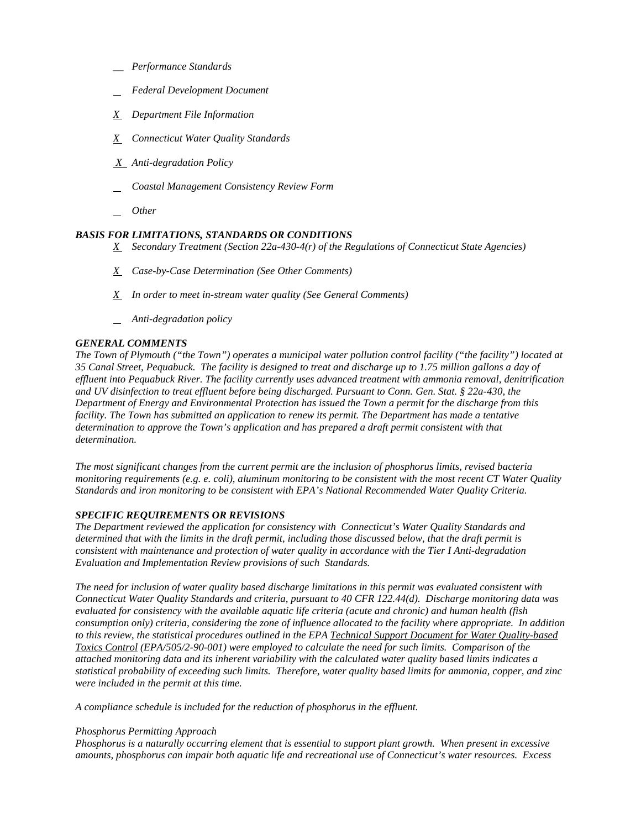- *\_\_ Performance Standards*
- *Federal Development Document*
- *X Department File Information*
- *X Connecticut Water Quality Standards*
- *X Anti-degradation Policy*
- *Coastal Management Consistency Review Form*
- *Other*

### *BASIS FOR LIMITATIONS, STANDARDS OR CONDITIONS*

- *X Secondary Treatment (Section 22a-430-4(r) of the Regulations of Connecticut State Agencies)*
- *X Case-by-Case Determination (See Other Comments)*
- *X In order to meet in-stream water quality (See General Comments)*
- *Anti-degradation policy*

### *GENERAL COMMENTS*

 *The Town of Plymouth ("the Town") operates a municipal water pollution control facility ("the facility") located at 35 Canal Street, Pequabuck. The facility is designed to treat and discharge up to 1.75 million gallons a day of effluent into Pequabuck River. The facility currently uses advanced treatment with ammonia removal, denitrification and UV disinfection to treat effluent before being discharged. Pursuant to Conn. Gen. Stat. § 22a-430, the Department of Energy and Environmental Protection has issued the Town a permit for the discharge from this facility. The Town has submitted an application to renew its permit. The Department has made a tentative determination to approve the Town's application and has prepared a draft permit consistent with that determination.* 

*The most significant changes from the current permit are the inclusion of phosphorus limits, revised bacteria monitoring requirements (e.g. e. coli), aluminum monitoring to be consistent with the most recent CT Water Quality Standards and iron monitoring to be consistent with EPA's National Recommended Water Quality Criteria.* 

### *SPECIFIC REQUIREMENTS OR REVISIONS*

Evaluation and Implementation Review provisions of such Standards. *The Department reviewed the application for consistency with Connecticut's Water Quality Standards and determined that with the limits in the draft permit, including those discussed below, that the draft permit is consistent with maintenance and protection of water quality in accordance with the Tier I Anti-degradation* 

 *Connecticut Water Quality Standards and criteria, pursuant to 40 CFR 122.44(d). Discharge monitoring data was consumption only) criteria, considering the zone of influence allocated to the facility where appropriate. In addition to this review, the statistical procedures outlined in the EPA Technical Support Document for Water Quality-based*  were included in the permit at this time. *The need for inclusion of water quality based discharge limitations in this permit was evaluated consistent with evaluated for consistency with the available aquatic life criteria (acute and chronic) and human health (fish Toxics Control (EPA/505/2-90-001) were employed to calculate the need for such limits. Comparison of the attached monitoring data and its inherent variability with the calculated water quality based limits indicates a statistical probability of exceeding such limits. Therefore, water quality based limits for ammonia, copper, and zinc* 

*were included in the permit at this time. A compliance schedule is included for the reduction of phosphorus in the effluent.* 

### *Phosphorus Permitting Approach*

 *amounts, phosphorus can impair both aquatic life and recreational use of Connecticut's water resources. Excess Phosphorus is a naturally occurring element that is essential to support plant growth. When present in excessive*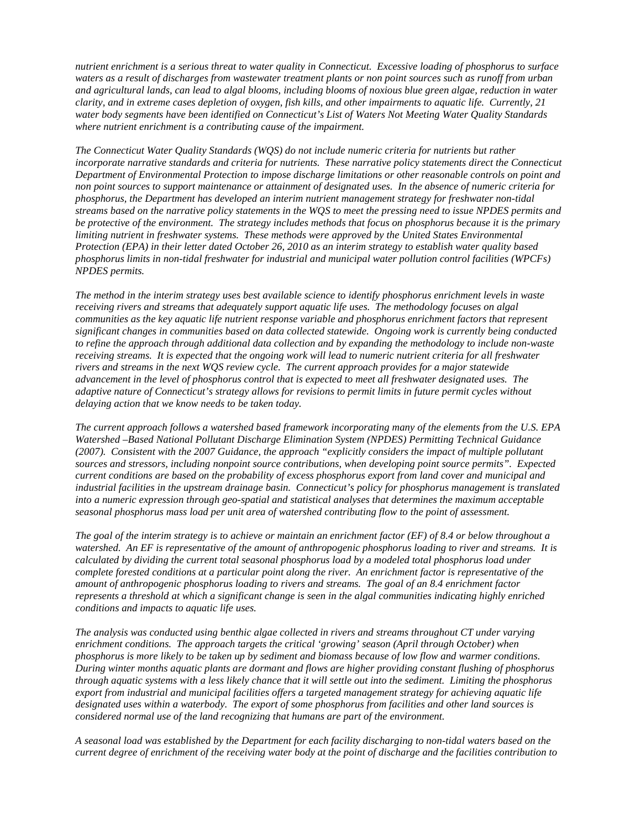*water body segments have been identified on Connecticut's List of Waters Not Meeting Water Quality Standards nutrient enrichment is a serious threat to water quality in Connecticut. Excessive loading of phosphorus to surface waters as a result of discharges from wastewater treatment plants or non point sources such as runoff from urban and agricultural lands, can lead to algal blooms, including blooms of noxious blue green algae, reduction in water clarity, and in extreme cases depletion of oxygen, fish kills, and other impairments to aquatic life. Currently, 21 where nutrient enrichment is a contributing cause of the impairment.* 

 *phosphorus limits in non-tidal freshwater for industrial and municipal water pollution control facilities (WPCFs) NPDES* permits. *The Connecticut Water Quality Standards (WQS) do not include numeric criteria for nutrients but rather incorporate narrative standards and criteria for nutrients. These narrative policy statements direct the Connecticut Department of Environmental Protection to impose discharge limitations or other reasonable controls on point and non point sources to support maintenance or attainment of designated uses. In the absence of numeric criteria for phosphorus, the Department has developed an interim nutrient management strategy for freshwater non-tidal streams based on the narrative policy statements in the WQS to meet the pressing need to issue NPDES permits and be protective of the environment. The strategy includes methods that focus on phosphorus because it is the primary limiting nutrient in freshwater systems. These methods were approved by the United States Environmental Protection (EPA) in their letter dated October 26, 2010 as an interim strategy to establish water quality based* 

 *delaying action that we know needs to be taken today. The method in the interim strategy uses best available science to identify phosphorus enrichment levels in waste receiving rivers and streams that adequately support aquatic life uses. The methodology focuses on algal communities as the key aquatic life nutrient response variable and phosphorus enrichment factors that represent significant changes in communities based on data collected statewide. Ongoing work is currently being conducted to refine the approach through additional data collection and by expanding the methodology to include non-waste receiving streams. It is expected that the ongoing work will lead to numeric nutrient criteria for all freshwater rivers and streams in the next WQS review cycle. The current approach provides for a major statewide advancement in the level of phosphorus control that is expected to meet all freshwater designated uses. The adaptive nature of Connecticut's strategy allows for revisions to permit limits in future permit cycles without* 

 *seasonal phosphorus mass load per unit area of watershed contributing flow to the point of assessment. The current approach follows a watershed based framework incorporating many of the elements from the U.S. EPA Watershed –Based National Pollutant Discharge Elimination System (NPDES) Permitting Technical Guidance (2007). Consistent with the 2007 Guidance, the approach "explicitly considers the impact of multiple pollutant sources and stressors, including nonpoint source contributions, when developing point source permits". Expected current conditions are based on the probability of excess phosphorus export from land cover and municipal and industrial facilities in the upstream drainage basin. Connecticut's policy for phosphorus management is translated into a numeric expression through geo-spatial and statistical analyses that determines the maximum acceptable* 

*conditions and impacts to aquatic life uses. The goal of the interim strategy is to achieve or maintain an enrichment factor (EF) of 8.4 or below throughout a watershed. An EF is representative of the amount of anthropogenic phosphorus loading to river and streams. It is calculated by dividing the current total seasonal phosphorus load by a modeled total phosphorus load under complete forested conditions at a particular point along the river. An enrichment factor is representative of the amount of anthropogenic phosphorus loading to rivers and streams. The goal of an 8.4 enrichment factor represents a threshold at which a significant change is seen in the algal communities indicating highly enriched* 

phosphorus is more likely to be taken up by sediment and biomass because of low flow and warmer conditions.  *considered normal use of the land recognizing that humans are part of the environment. conditions and impacts to aquatic life uses. The analysis was conducted using benthic algae collected in rivers and streams throughout CT under varying enrichment conditions. The approach targets the critical 'growing' season (April through October) when*  During winter months aquatic plants are dormant and flows are higher providing constant flushing of phosphorus *through aquatic systems with a less likely chance that it will settle out into the sediment. Limiting the phosphorus export from industrial and municipal facilities offers a targeted management strategy for achieving aquatic life designated uses within a waterbody. The export of some phosphorus from facilities and other land sources is* 

 *current degree of enrichment of the receiving water body at the point of discharge and the facilities contribution to A seasonal load was established by the Department for each facility discharging to non-tidal waters based on the*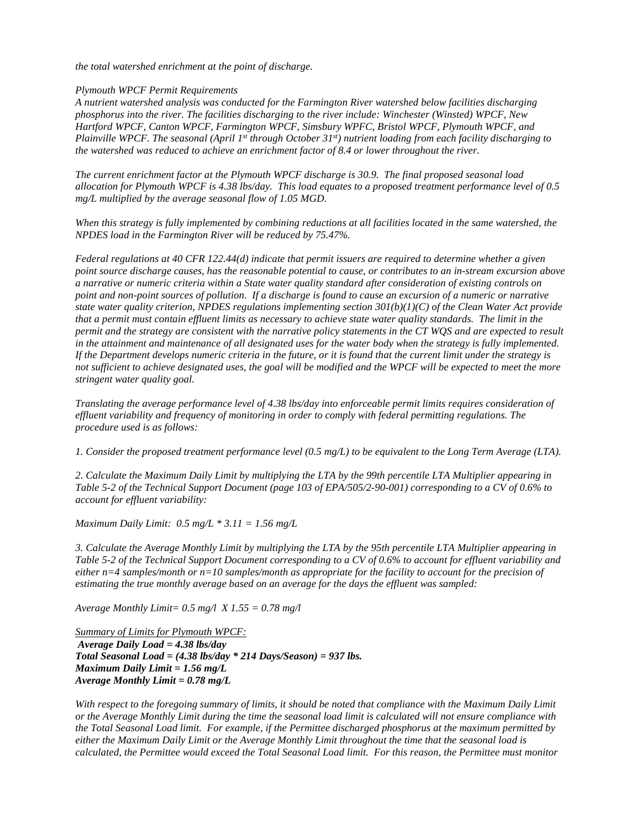*the total watershed enrichment at the point of discharge. Plymouth WPCF Permit Requirements* 

the watershed was reduced to achieve an enrichment factor of 8.4 or lower throughout the river. *A nutrient watershed analysis was conducted for the Farmington River watershed below facilities discharging phosphorus into the river. The facilities discharging to the river include: Winchester (Winsted) WPCF, New Hartford WPCF, Canton WPCF, Farmington WPCF, Simsbury WPFC, Bristol WPCF, Plymouth WPCF, and Plainville WPCF. The seasonal (April 1<sup>st</sup> through October 31<sup>st</sup>) nutrient loading from each facility discharging to* 

the watershed was reduced to achieve an enrichment factor of 8.4 or lower throughout the river.<br>The current enrichment factor at the Plymouth WPCF discharge is 30.9. The final proposed seasonal load  *mg/L multiplied by the average seasonal flow of 1.05 MGD. allocation for Plymouth WPCF is 4.38 lbs/day. This load equates to a proposed treatment performance level of 0.5* 

*NPDES* load in the Farmington River will be reduced by 75.47%. *When this strategy is fully implemented by combining reductions at all facilities located in the same watershed, the* 

in the attainment and maintenance of all designated uses for the water body when the strategy is fully implemented. *stringent water quality goal.* Federal regulations at 40 CFR 122.44(d) indicate that permit issuers are required to determine whether a given *point source discharge causes, has the reasonable potential to cause, or contributes to an in-stream excursion above a narrative or numeric criteria within a State water quality standard after consideration of existing controls on point and non-point sources of pollution. If a discharge is found to cause an excursion of a numeric or narrative state water quality criterion, NPDES regulations implementing section 301(b)(1)(C) of the Clean Water Act provide that a permit must contain effluent limits as necessary to achieve state water quality standards. The limit in the permit and the strategy are consistent with the narrative policy statements in the CT WOS and are expected to result* If the Department develops numeric criteria in the future, or it is found that the current limit under the strategy is *not sufficient to achieve designated uses, the goal will be modified and the WPCF will be expected to meet the more* 

*Translating the average performance level of 4.38 lbs/day into enforceable permit limits requires consideration of effluent variability and frequency of monitoring in order to comply with federal permitting regulations. The procedure used is as follows:* 

*1. Consider the proposed treatment performance level (0.5 mg/L) to be equivalent to the Long Term Average (LTA).* 

*2. Calculate the Maximum Daily Limit by multiplying the LTA by the 99th percentile LTA Multiplier appearing in Table 5-2 of the Technical Support Document (page 103 of EPA/505/2-90-001) corresponding to a CV of 0.6% to account for effluent variability:* 

 *Maximum Daily Limit: 0.5 mg/L \* 3.11 = 1.56 mg/L* 

*3. Calculate the Average Monthly Limit by multiplying the LTA by the 95th percentile LTA Multiplier appearing in Table 5-2 of the Technical Support Document corresponding to a CV of 0.6% to account for effluent variability and either n=4 samples/month or n=10 samples/month as appropriate for the facility to account for the precision of estimating the true monthly average based on an average for the days the effluent was sampled:* 

 *Average Monthly Limit= 0.5 mg/l X 1.55 = 0.78 mg/l* 

*Average Daily Load = 4.38 lbs/day Maximum Daily Limit = 1.56 mg/L Average Monthly Limit = 0.78 mg/L Summary of Limits for Plymouth WPCF: Total Seasonal Load = (4.38 lbs/day \* 214 Days/Season) = 937 lbs.* 

*With respect to the foregoing summary of limits, it should be noted that compliance with the Maximum Daily Limit or the Average Monthly Limit during the time the seasonal load limit is calculated will not ensure compliance with the Total Seasonal Load limit. For example, if the Permittee discharged phosphorus at the maximum permitted by either the Maximum Daily Limit or the Average Monthly Limit throughout the time that the seasonal load is calculated, the Permittee would exceed the Total Seasonal Load limit. For this reason, the Permittee must monitor*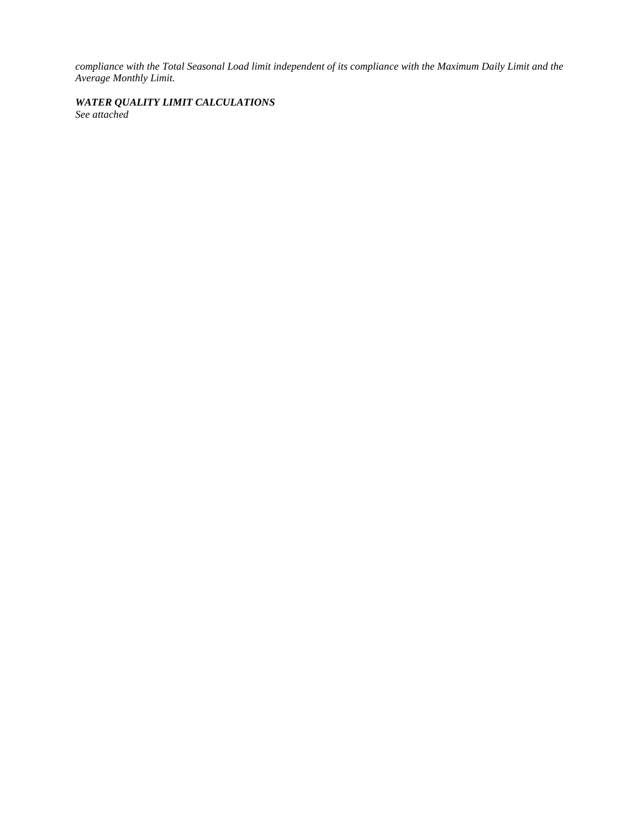*compliance with the Total Seasonal Load limit independent of its compliance with the Maximum Daily Limit and the Average Monthly Limit.* 

### *WATER QUALITY LIMIT CALCULATIONS*

*See attached*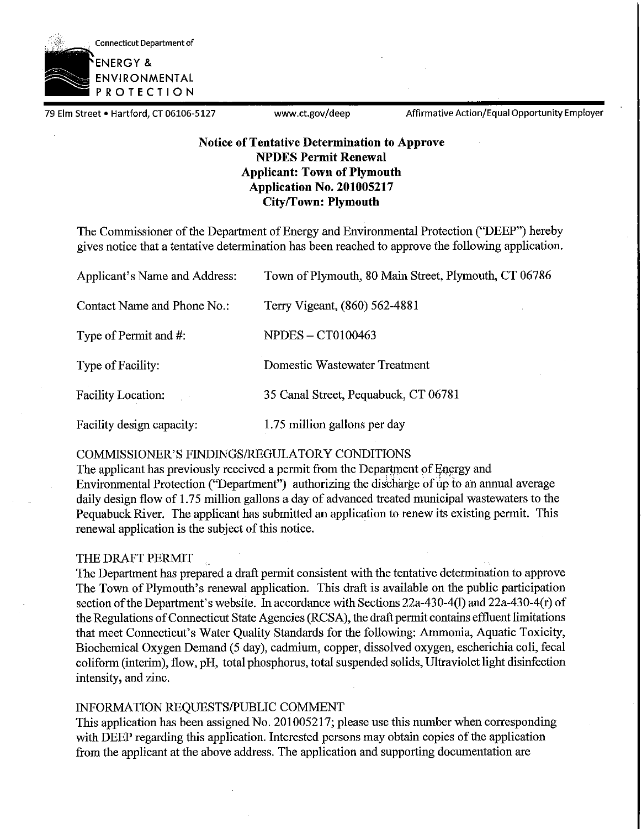

79 Elm Street • Hartford, CT 06106-5127 www.ct.gov/deep Affirmative Action/Equal Opportunity Employer

### **Notice of Tentative Determination to Approve NPDES Permit Renewal Applicant: Town of Plymouth Application No. 201005217 City/Town: Plymouth**

The Commissioner of the Department of Energy and Environmental Protection ("DEEP") hereby gives notice that a tentative determination has been reached to approve the following application.

| Applicant's Name and Address: | Town of Plymouth, 80 Main Street, Plymouth, CT 06786 |
|-------------------------------|------------------------------------------------------|
| Contact Name and Phone No.:   | Terry Vigeant, (860) 562-4881                        |
| Type of Permit and #:         | <b>NPDES - CT0100463</b>                             |
| Type of Facility:             | Domestic Wastewater Treatment                        |
| Facility Location:            | 35 Canal Street, Pequabuck, CT 06781                 |
| Facility design capacity:     | 1.75 million gallons per day                         |

### COMMISSIONER'S FINDINGS/REGULATORY CONDITIONS

The applicant has previously received a permit from the Department of Energy and Enviromnental Protection ("Department") authorizing the discharge of tip to an annual average daily design flow of 1.75 million gallons a day of advanced treated municipal wastewaters to the Pequabuck River. The applicant has submitted an application to renew its existing permit. This renewal application is the subject of this notice.

### THE DRAFT PERMIT

The Department has prepared a draft permit consistent with the tentative determination to approve The Town of Plymouth's renewal application. This draft is available on the public participation section of the Department's website. In accordance with Sections 22a-430-4(1) and 22a-430-4(r) of the Regulations ofConnecticut State Agencies (RCSA), the draft permit contains effluent limitations that meet Connecticut's Water Quality Standards for the following: Ammonia, Aquatic Toxicity, Biochemical Oxygen Demand (5 day), cadmium, copper, dissolved oxygen, escherichia coli, fecal coliform (interim), flow, pH, total phosphorus, total suspended solids, Ultraviolet light disinfection intensity, and zinc.

### INFORMATION REQUESTS/PUBLIC COMMENT

This application has been assigned No. 201005217; please use this number when corresponding with DEEP regarding this application. Interested persons may obtain copies of the application from the applicant at the above address. The application and supporting documentation are